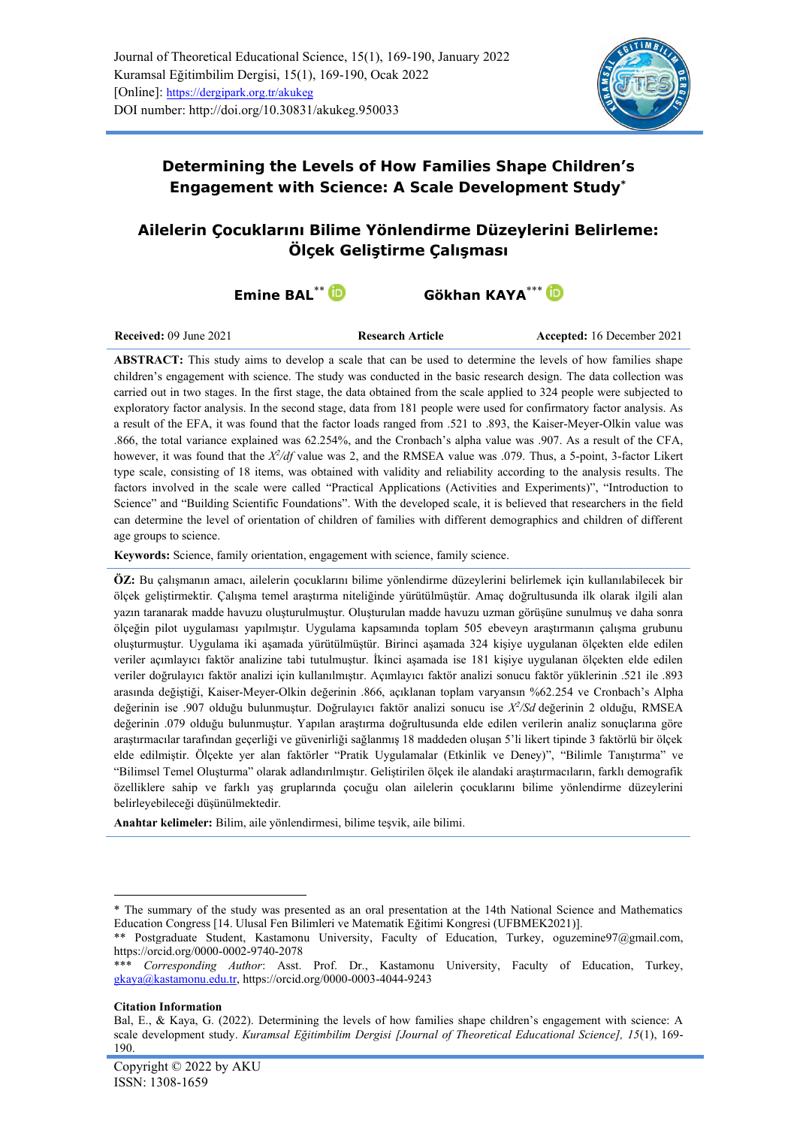

**Determining the Levels of How Families Shape Children's Engagement with Science: A Scale Development Study\***

# **Ailelerin Çocuklarını Bilime Yönlendirme Düzeylerini Belirleme: Ölçek Geliştirme Çalışması**

**Emine BAL<sup>\*\*</sup> <b>Gökhan KAYA**\*\*\* **D** 

**Received:** 09 June 2021 **Research Article Accepted:** 16 December 2021

**ABSTRACT:** This study aims to develop a scale that can be used to determine the levels of how families shape children's engagement with science. The study was conducted in the basic research design. The data collection was carried out in two stages. In the first stage, the data obtained from the scale applied to 324 people were subjected to exploratory factor analysis. In the second stage, data from 181 people were used for confirmatory factor analysis. As a result of the EFA, it was found that the factor loads ranged from .521 to .893, the Kaiser-Meyer-Olkin value was .866, the total variance explained was 62.254%, and the Cronbach's alpha value was .907. As a result of the CFA, however, it was found that the *X<sup>2</sup>/df* value was 2, and the RMSEA value was .079. Thus, a 5-point, 3-factor Likert type scale, consisting of 18 items, was obtained with validity and reliability according to the analysis results. The factors involved in the scale were called "Practical Applications (Activities and Experiments)", "Introduction to Science" and "Building Scientific Foundations". With the developed scale, it is believed that researchers in the field can determine the level of orientation of children of families with different demographics and children of different age groups to science.

**Keywords:** Science, family orientation, engagement with science, family science.

**ÖZ:** Bu çalışmanın amacı, ailelerin çocuklarını bilime yönlendirme düzeylerini belirlemek için kullanılabilecek bir ölçek geliştirmektir. Çalışma temel araştırma niteliğinde yürütülmüştür. Amaç doğrultusunda ilk olarak ilgili alan yazın taranarak madde havuzu oluşturulmuştur. Oluşturulan madde havuzu uzman görüşüne sunulmuş ve daha sonra ölçeğin pilot uygulaması yapılmıştır. Uygulama kapsamında toplam 505 ebeveyn araştırmanın çalışma grubunu oluşturmuştur. Uygulama iki aşamada yürütülmüştür. Birinci aşamada 324 kişiye uygulanan ölçekten elde edilen veriler açımlayıcı faktör analizine tabi tutulmuştur. İkinci aşamada ise 181 kişiye uygulanan ölçekten elde edilen veriler doğrulayıcı faktör analizi için kullanılmıştır. Açımlayıcı faktör analizi sonucu faktör yüklerinin .521 ile .893 arasında değiştiği, Kaiser-Meyer-Olkin değerinin .866, açıklanan toplam varyansın %62.254 ve Cronbach's Alpha değerinin ise .907 olduğu bulunmuştur. Doğrulayıcı faktör analizi sonucu ise *X 2 /Sd* değerinin 2 olduğu, RMSEA değerinin .079 olduğu bulunmuştur. Yapılan araştırma doğrultusunda elde edilen verilerin analiz sonuçlarına göre araştırmacılar tarafından geçerliği ve güvenirliği sağlanmış 18 maddeden oluşan 5'li likert tipinde 3 faktörlü bir ölçek elde edilmiştir. Ölçekte yer alan faktörler "Pratik Uygulamalar (Etkinlik ve Deney)", "Bilimle Tanıştırma" ve "Bilimsel Temel Oluşturma" olarak adlandırılmıştır. Geliştirilen ölçek ile alandaki araştırmacıların, farklı demografik özelliklere sahip ve farklı yaş gruplarında çocuğu olan ailelerin çocuklarını bilime yönlendirme düzeylerini belirleyebileceği düşünülmektedir.

**Anahtar kelimeler:** Bilim, aile yönlendirmesi, bilime teşvik, aile bilimi.

#### **Citation Information**

<sup>\*</sup> The summary of the study was presented as an oral presentation at the 14th National Science and Mathematics Education Congress [14. Ulusal Fen Bilimleri ve Matematik Eğitimi Kongresi (UFBMEK2021)].

<sup>\*\*</sup> Postgraduate Student, Kastamonu University, Faculty of Education, Turkey, [oguzemine97@gmail.com,](mailto:oguzemine97@gmail.com) <https://orcid.org/0000-0002-9740-2078>

<sup>\*\*\*</sup> *Corresponding Author*: Asst. Prof. Dr., Kastamonu University, Faculty of Education, Turkey, [gkaya@kastamonu.edu.tr,](mailto:gkaya@kastamonu.edu.tr)<https://orcid.org/0000-0003-4044-9243>

Bal, E., & Kaya, G. (2022). Determining the levels of how families shape children's engagement with science: A scale development study. *Kuramsal Eğitimbilim Dergisi [Journal of Theoretical Educational Science], 15*(1), 169- 190.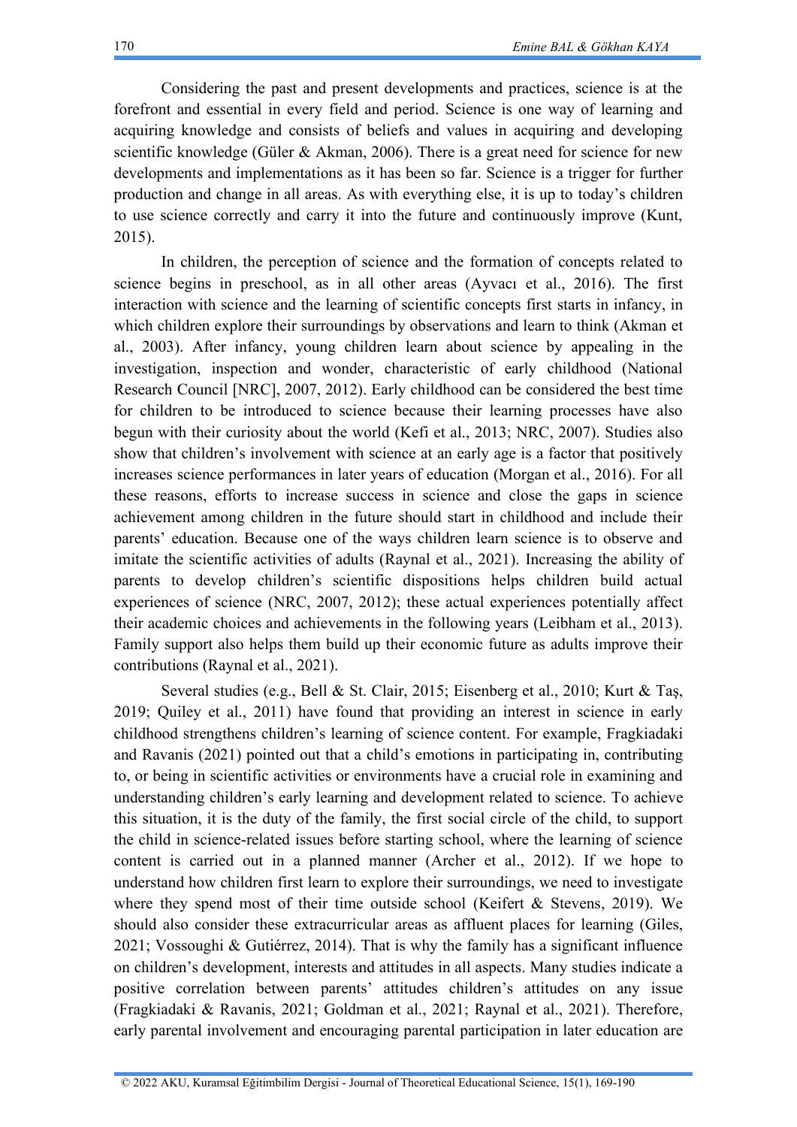Considering the past and present developments and practices, science is at the forefront and essential in every field and period. Science is one way of learning and acquiring knowledge and consists of beliefs and values in acquiring and developing scientific knowledge (Güler & Akman, 2006). There is a great need for science for new developments and implementations as it has been so far. Science is a trigger for further production and change in all areas. As with everything else, it is up to today's children to use science correctly and carry it into the future and continuously improve (Kunt, 2015).

In children, the perception of science and the formation of concepts related to science begins in preschool, as in all other areas (Ayvacı et al., 2016). The first interaction with science and the learning of scientific concepts first starts in infancy, in which children explore their surroundings by observations and learn to think (Akman et al., 2003). After infancy, young children learn about science by appealing in the investigation, inspection and wonder, characteristic of early childhood (National Research Council [NRC], 2007, 2012). Early childhood can be considered the best time for children to be introduced to science because their learning processes have also begun with their curiosity about the world (Kefi et al., 2013; NRC, 2007). Studies also show that children's involvement with science at an early age is a factor that positively increases science performances in later years of education (Morgan et al., 2016). For all these reasons, efforts to increase success in science and close the gaps in science achievement among children in the future should start in childhood and include their parents' education. Because one of the ways children learn science is to observe and imitate the scientific activities of adults (Raynal et al., 2021). Increasing the ability of parents to develop children's scientific dispositions helps children build actual experiences of science (NRC, 2007, 2012); these actual experiences potentially affect their academic choices and achievements in the following years (Leibham et al., 2013). Family support also helps them build up their economic future as adults improve their contributions (Raynal et al., 2021).

Several studies (e.g., Bell & St. Clair, 2015; Eisenberg et al., 2010; Kurt & Taş, 2019; Quiley et al., 2011) have found that providing an interest in science in early childhood strengthens children's learning of science content. For example, Fragkiadaki and Ravanis (2021) pointed out that a child's emotions in participating in, contributing to, or being in scientific activities or environments have a crucial role in examining and understanding children's early learning and development related to science. To achieve this situation, it is the duty of the family, the first social circle of the child, to support the child in science-related issues before starting school, where the learning of science content is carried out in a planned manner (Archer et al., 2012). If we hope to understand how children first learn to explore their surroundings, we need to investigate where they spend most of their time outside school (Keifert & Stevens, 2019). We should also consider these extracurricular areas as affluent places for learning (Giles, 2021; Vossoughi & Gutiérrez, 2014). That is why the family has a significant influence on children's development, interests and attitudes in all aspects. Many studies indicate a positive correlation between parents' attitudes children's attitudes on any issue (Fragkiadaki & Ravanis, 2021; Goldman et al., 2021; Raynal et al., 2021). Therefore, early parental involvement and encouraging parental participation in later education are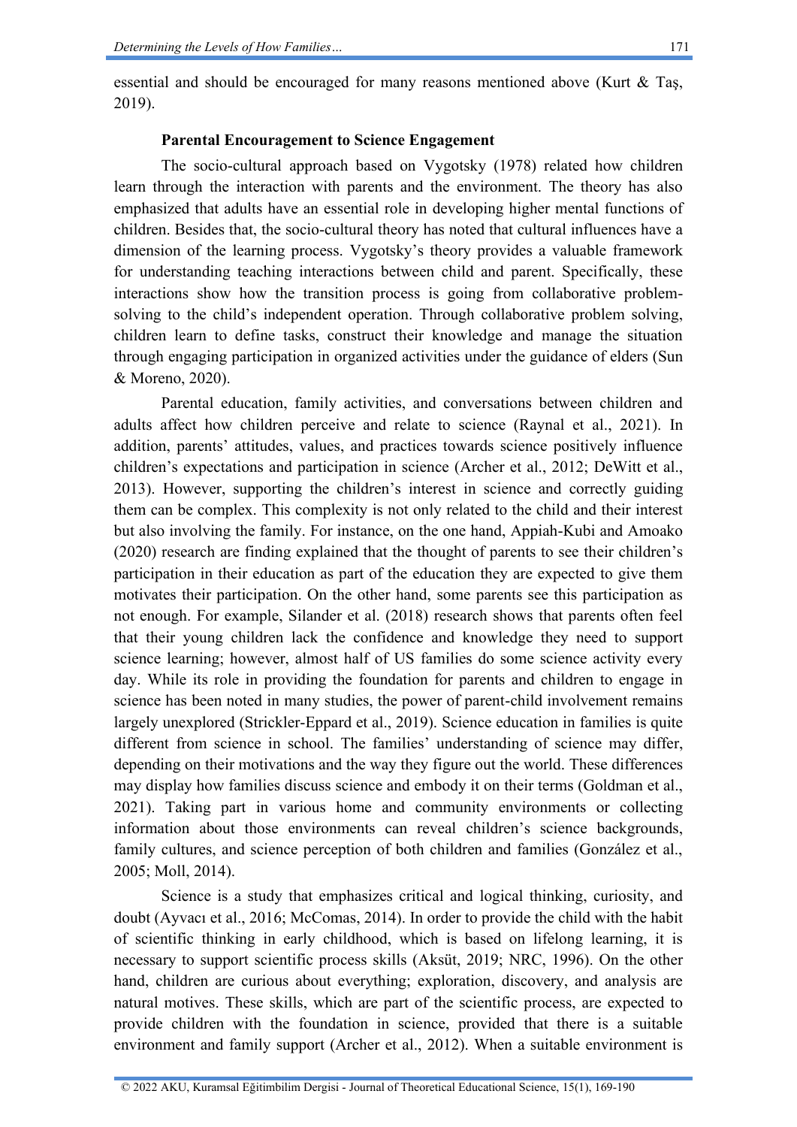essential and should be encouraged for many reasons mentioned above (Kurt  $\&$  Tas, 2019).

### **Parental Encouragement to Science Engagement**

The socio-cultural approach based on Vygotsky (1978) related how children learn through the interaction with parents and the environment. The theory has also emphasized that adults have an essential role in developing higher mental functions of children. Besides that, the socio-cultural theory has noted that cultural influences have a dimension of the learning process. Vygotsky's theory provides a valuable framework for understanding teaching interactions between child and parent. Specifically, these interactions show how the transition process is going from collaborative problemsolving to the child's independent operation. Through collaborative problem solving, children learn to define tasks, construct their knowledge and manage the situation through engaging participation in organized activities under the guidance of elders (Sun & Moreno, 2020).

Parental education, family activities, and conversations between children and adults affect how children perceive and relate to science (Raynal et al., 2021). In addition, parents' attitudes, values, and practices towards science positively influence children's expectations and participation in science (Archer et al., 2012; DeWitt et al., 2013). However, supporting the children's interest in science and correctly guiding them can be complex. This complexity is not only related to the child and their interest but also involving the family. For instance, on the one hand, Appiah-Kubi and Amoako (2020) research are finding explained that the thought of parents to see their children's participation in their education as part of the education they are expected to give them motivates their participation. On the other hand, some parents see this participation as not enough. For example, Silander et al. (2018) research shows that parents often feel that their young children lack the confidence and knowledge they need to support science learning; however, almost half of US families do some science activity every day. While its role in providing the foundation for parents and children to engage in science has been noted in many studies, the power of parent-child involvement remains largely unexplored (Strickler-Eppard et al., 2019). Science education in families is quite different from science in school. The families' understanding of science may differ, depending on their motivations and the way they figure out the world. These differences may display how families discuss science and embody it on their terms (Goldman et al., 2021). Taking part in various home and community environments or collecting information about those environments can reveal children's science backgrounds, family cultures, and science perception of both children and families (González et al., 2005; Moll, 2014).

Science is a study that emphasizes critical and logical thinking, curiosity, and doubt (Ayvacı et al., 2016; McComas, 2014). In order to provide the child with the habit of scientific thinking in early childhood, which is based on lifelong learning, it is necessary to support scientific process skills (Aksüt, 2019; NRC, 1996). On the other hand, children are curious about everything; exploration, discovery, and analysis are natural motives. These skills, which are part of the scientific process, are expected to provide children with the foundation in science, provided that there is a suitable environment and family support (Archer et al., 2012). When a suitable environment is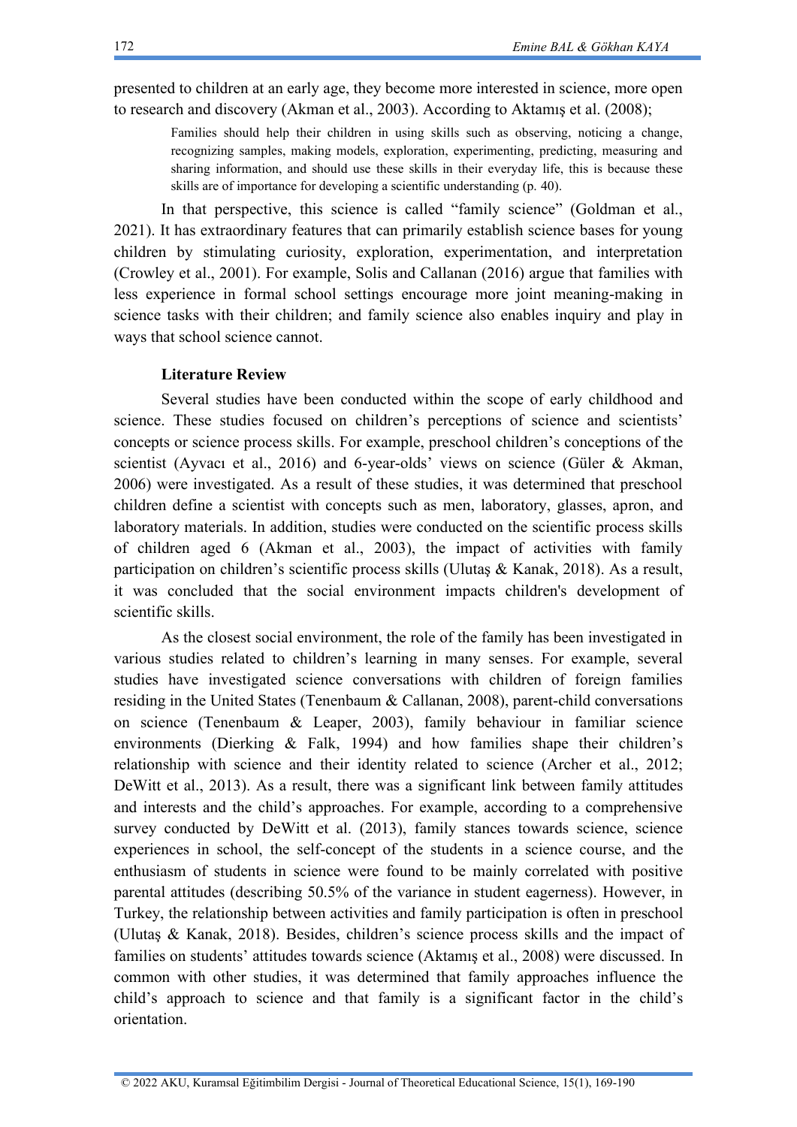presented to children at an early age, they become more interested in science, more open to research and discovery (Akman et al., 2003). According to Aktamış et al. (2008);

Families should help their children in using skills such as observing, noticing a change, recognizing samples, making models, exploration, experimenting, predicting, measuring and sharing information, and should use these skills in their everyday life, this is because these skills are of importance for developing a scientific understanding (p. 40).

In that perspective, this science is called "family science" (Goldman et al., 2021). It has extraordinary features that can primarily establish science bases for young children by stimulating curiosity, exploration, experimentation, and interpretation (Crowley et al., 2001). For example, Solis and Callanan (2016) argue that families with less experience in formal school settings encourage more joint meaning-making in science tasks with their children; and family science also enables inquiry and play in ways that school science cannot.

## **Literature Review**

Several studies have been conducted within the scope of early childhood and science. These studies focused on children's perceptions of science and scientists' concepts or science process skills. For example, preschool children's conceptions of the scientist (Ayvacı et al., 2016) and 6-year-olds' views on science (Güler & Akman, 2006) were investigated. As a result of these studies, it was determined that preschool children define a scientist with concepts such as men, laboratory, glasses, apron, and laboratory materials. In addition, studies were conducted on the scientific process skills of children aged 6 (Akman et al., 2003), the impact of activities with family participation on children's scientific process skills (Ulutaş & Kanak, 2018). As a result, it was concluded that the social environment impacts children's development of scientific skills.

As the closest social environment, the role of the family has been investigated in various studies related to children's learning in many senses. For example, several studies have investigated science conversations with children of foreign families residing in the United States (Tenenbaum & Callanan, 2008), parent-child conversations on science (Tenenbaum & Leaper, 2003), family behaviour in familiar science environments (Dierking & Falk, 1994) and how families shape their children's relationship with science and their identity related to science (Archer et al., 2012; DeWitt et al., 2013). As a result, there was a significant link between family attitudes and interests and the child's approaches. For example, according to a comprehensive survey conducted by DeWitt et al. (2013), family stances towards science, science experiences in school, the self-concept of the students in a science course, and the enthusiasm of students in science were found to be mainly correlated with positive parental attitudes (describing 50.5% of the variance in student eagerness). However, in Turkey, the relationship between activities and family participation is often in preschool (Ulutaş & Kanak, 2018). Besides, children's science process skills and the impact of families on students' attitudes towards science (Aktamış et al., 2008) were discussed. In common with other studies, it was determined that family approaches influence the child's approach to science and that family is a significant factor in the child's orientation.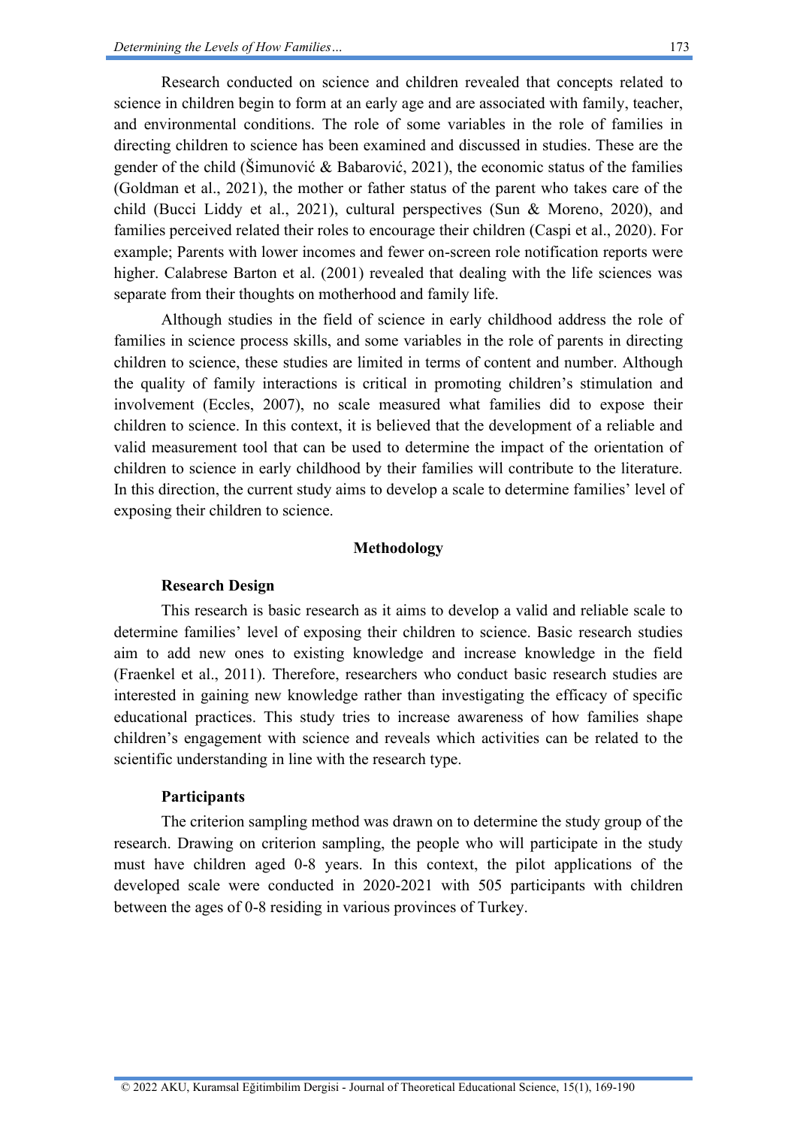Research conducted on science and children revealed that concepts related to science in children begin to form at an early age and are associated with family, teacher, and environmental conditions. The role of some variables in the role of families in directing children to science has been examined and discussed in studies. These are the gender of the child (Šimunović & Babarović, 2021), the economic status of the families (Goldman et al., 2021), the mother or father status of the parent who takes care of the child (Bucci Liddy et al., 2021), cultural perspectives (Sun & Moreno, 2020), and families perceived related their roles to encourage their children (Caspi et al., 2020). For example; Parents with lower incomes and fewer on-screen role notification reports were higher. Calabrese Barton et al. (2001) revealed that dealing with the life sciences was separate from their thoughts on motherhood and family life.

Although studies in the field of science in early childhood address the role of families in science process skills, and some variables in the role of parents in directing children to science, these studies are limited in terms of content and number. Although the quality of family interactions is critical in promoting children's stimulation and involvement (Eccles, 2007), no scale measured what families did to expose their children to science. In this context, it is believed that the development of a reliable and valid measurement tool that can be used to determine the impact of the orientation of children to science in early childhood by their families will contribute to the literature. In this direction, the current study aims to develop a scale to determine families' level of exposing their children to science.

### **Methodology**

### **Research Design**

This research is basic research as it aims to develop a valid and reliable scale to determine families' level of exposing their children to science. Basic research studies aim to add new ones to existing knowledge and increase knowledge in the field (Fraenkel et al., 2011). Therefore, researchers who conduct basic research studies are interested in gaining new knowledge rather than investigating the efficacy of specific educational practices. This study tries to increase awareness of how families shape children's engagement with science and reveals which activities can be related to the scientific understanding in line with the research type.

## **Participants**

The criterion sampling method was drawn on to determine the study group of the research. Drawing on criterion sampling, the people who will participate in the study must have children aged 0-8 years. In this context, the pilot applications of the developed scale were conducted in 2020-2021 with 505 participants with children between the ages of 0-8 residing in various provinces of Turkey.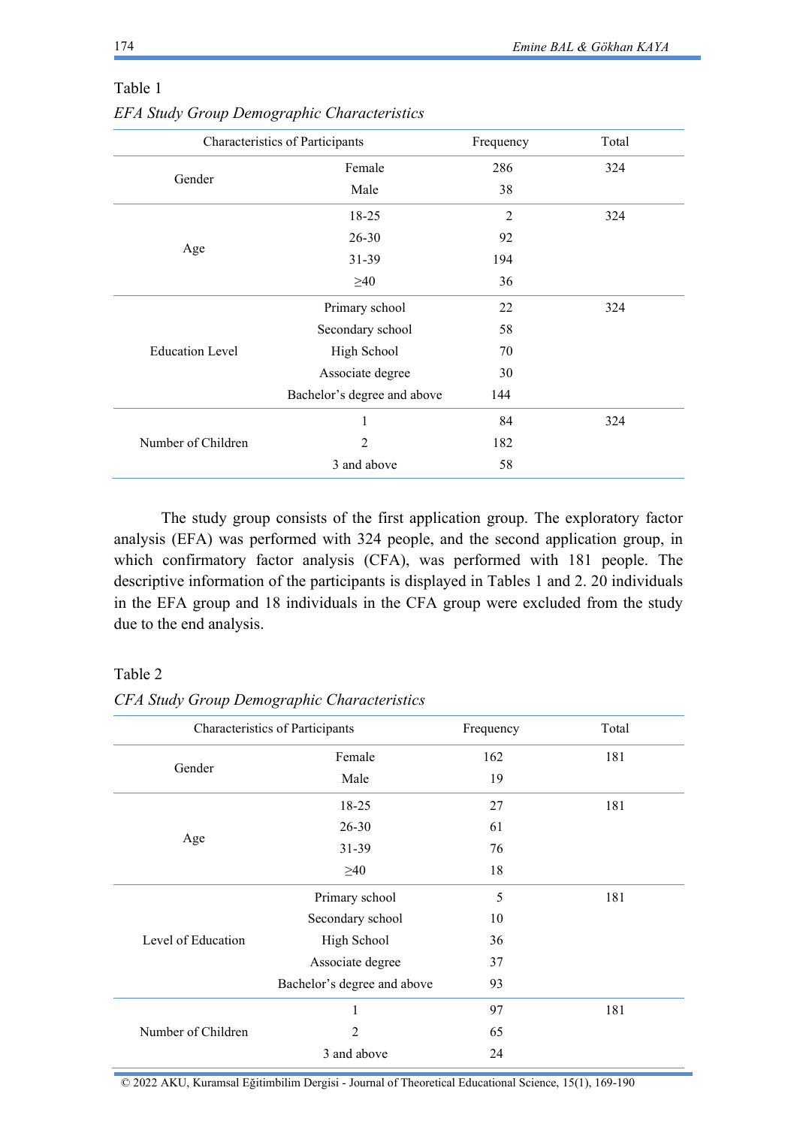|                        | Characteristics of Participants |     | Total |
|------------------------|---------------------------------|-----|-------|
|                        | Female                          | 286 | 324   |
| Gender                 | Male                            | 38  |       |
|                        | 18-25                           | 2   | 324   |
|                        | $26 - 30$                       | 92  |       |
| Age                    | 31-39                           | 194 |       |
|                        | $\geq 40$                       | 36  |       |
|                        | Primary school                  | 22  | 324   |
|                        | Secondary school                | 58  |       |
| <b>Education Level</b> | High School                     | 70  |       |
|                        | Associate degree                | 30  |       |
|                        | Bachelor's degree and above     | 144 |       |
|                        | 1                               | 84  | 324   |
| Number of Children     | $\overline{2}$                  | 182 |       |
|                        | 3 and above                     | 58  |       |
|                        |                                 |     |       |

## Table 1

*EFA Study Group Demographic Characteristics*

The study group consists of the first application group. The exploratory factor analysis (EFA) was performed with 324 people, and the second application group, in which confirmatory factor analysis (CFA), was performed with 181 people. The descriptive information of the participants is displayed in Tables 1 and 2. 20 individuals in the EFA group and 18 individuals in the CFA group were excluded from the study due to the end analysis.

## Table 2

| Characteristics of Participants |                             | Frequency | Total |
|---------------------------------|-----------------------------|-----------|-------|
|                                 | Female                      | 162       | 181   |
| Gender                          | Male                        | 19        |       |
|                                 | 18-25                       | 27        | 181   |
|                                 | $26 - 30$                   | 61        |       |
| Age                             | $31 - 39$                   | 76        |       |
|                                 | $\geq 40$                   | 18        |       |
|                                 | Primary school              | 5         | 181   |
|                                 | Secondary school            | 10        |       |
| Level of Education              | High School                 | 36        |       |
|                                 | Associate degree            | 37        |       |
|                                 | Bachelor's degree and above | 93        |       |
|                                 | 1                           | 97        | 181   |
| Number of Children              | $\overline{2}$              | 65        |       |
|                                 | 3 and above                 | 24        |       |

*CFA Study Group Demographic Characteristics*

© 2022 AKU, Kuramsal Eğitimbilim Dergisi - Journal of Theoretical Educational Science, 15(1), 169-190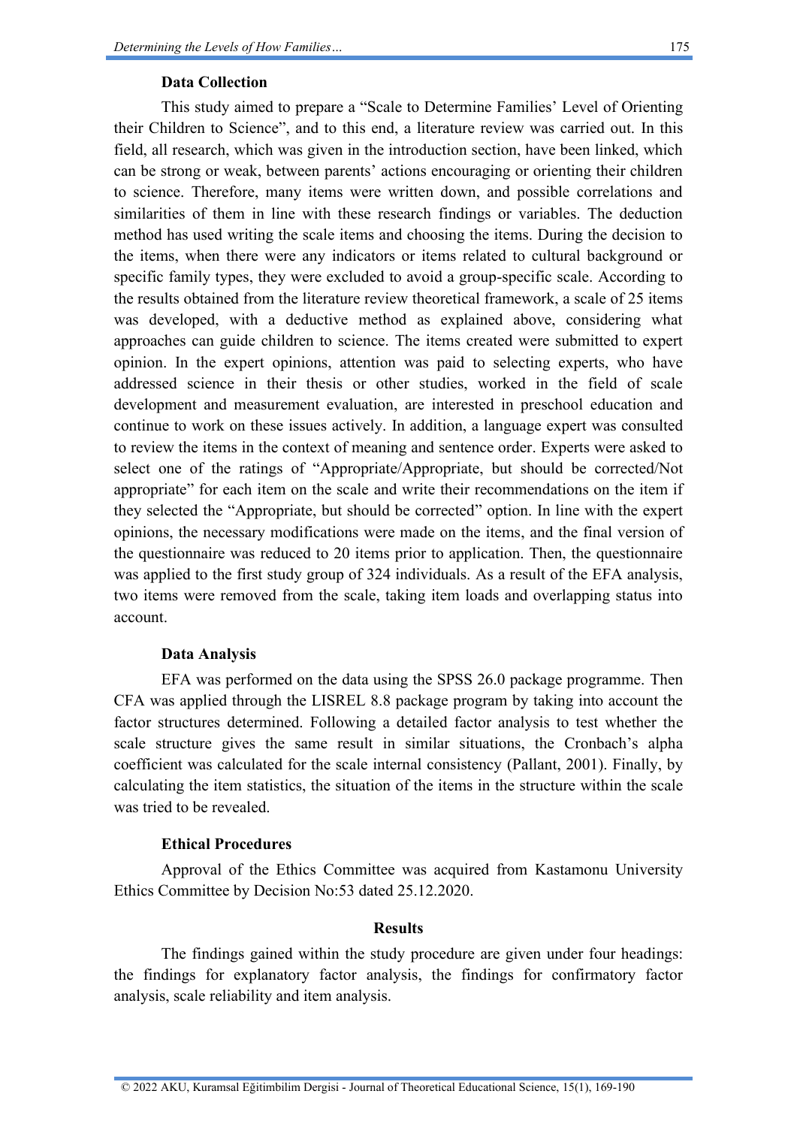## **Data Collection**

This study aimed to prepare a "Scale to Determine Families' Level of Orienting their Children to Science", and to this end, a literature review was carried out. In this field, all research, which was given in the introduction section, have been linked, which can be strong or weak, between parents' actions encouraging or orienting their children to science. Therefore, many items were written down, and possible correlations and similarities of them in line with these research findings or variables. The deduction method has used writing the scale items and choosing the items. During the decision to the items, when there were any indicators or items related to cultural background or specific family types, they were excluded to avoid a group-specific scale. According to the results obtained from the literature review theoretical framework, a scale of 25 items was developed, with a deductive method as explained above, considering what approaches can guide children to science. The items created were submitted to expert opinion. In the expert opinions, attention was paid to selecting experts, who have addressed science in their thesis or other studies, worked in the field of scale development and measurement evaluation, are interested in preschool education and continue to work on these issues actively. In addition, a language expert was consulted to review the items in the context of meaning and sentence order. Experts were asked to select one of the ratings of "Appropriate/Appropriate, but should be corrected/Not appropriate" for each item on the scale and write their recommendations on the item if they selected the "Appropriate, but should be corrected" option. In line with the expert opinions, the necessary modifications were made on the items, and the final version of the questionnaire was reduced to 20 items prior to application. Then, the questionnaire was applied to the first study group of 324 individuals. As a result of the EFA analysis, two items were removed from the scale, taking item loads and overlapping status into account.

## **Data Analysis**

EFA was performed on the data using the SPSS 26.0 package programme. Then CFA was applied through the LISREL 8.8 package program by taking into account the factor structures determined. Following a detailed factor analysis to test whether the scale structure gives the same result in similar situations, the Cronbach's alpha coefficient was calculated for the scale internal consistency (Pallant, 2001). Finally, by calculating the item statistics, the situation of the items in the structure within the scale was tried to be revealed.

### **Ethical Procedures**

Approval of the Ethics Committee was acquired from Kastamonu University Ethics Committee by Decision No:53 dated 25.12.2020.

### **Results**

The findings gained within the study procedure are given under four headings: the findings for explanatory factor analysis, the findings for confirmatory factor analysis, scale reliability and item analysis.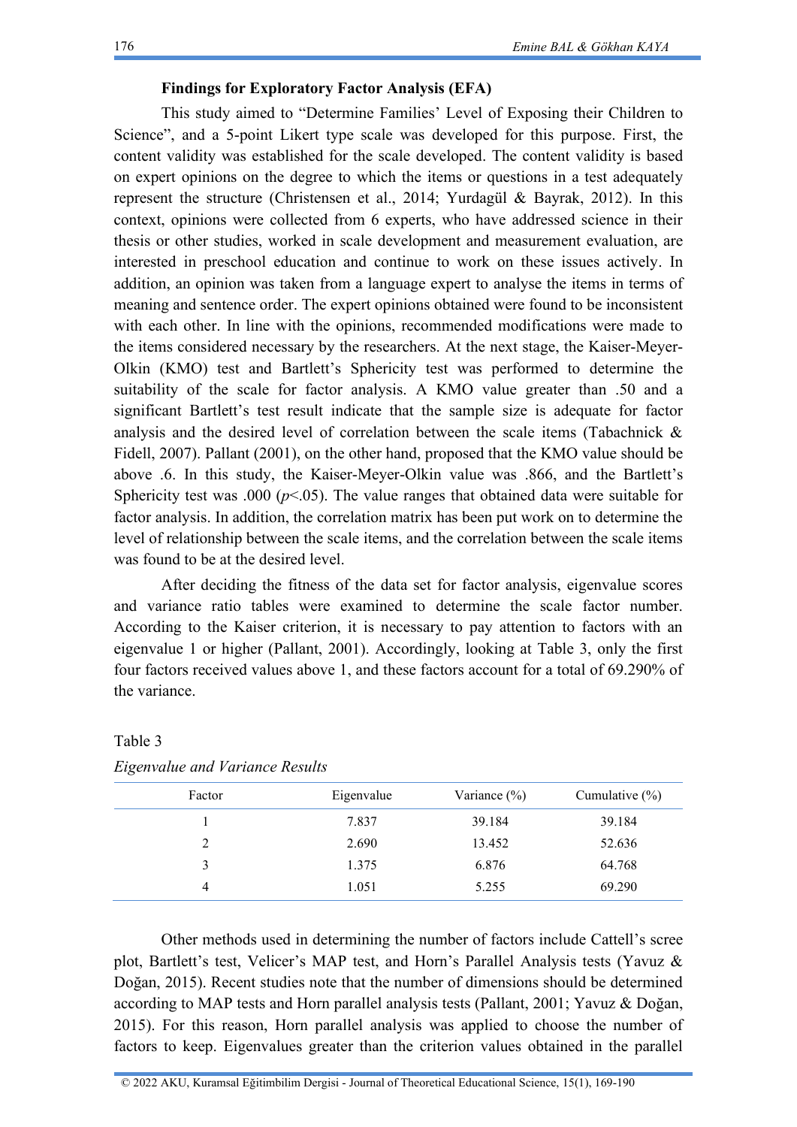## **Findings for Exploratory Factor Analysis (EFA)**

This study aimed to "Determine Families' Level of Exposing their Children to Science", and a 5-point Likert type scale was developed for this purpose. First, the content validity was established for the scale developed. The content validity is based on expert opinions on the degree to which the items or questions in a test adequately represent the structure (Christensen et al., 2014; Yurdagül & Bayrak, 2012). In this context, opinions were collected from 6 experts, who have addressed science in their thesis or other studies, worked in scale development and measurement evaluation, are interested in preschool education and continue to work on these issues actively. In addition, an opinion was taken from a language expert to analyse the items in terms of meaning and sentence order. The expert opinions obtained were found to be inconsistent with each other. In line with the opinions, recommended modifications were made to the items considered necessary by the researchers. At the next stage, the Kaiser-Meyer-Olkin (KMO) test and Bartlett's Sphericity test was performed to determine the suitability of the scale for factor analysis. A KMO value greater than .50 and a significant Bartlett's test result indicate that the sample size is adequate for factor analysis and the desired level of correlation between the scale items (Tabachnick & Fidell, 2007). Pallant (2001), on the other hand, proposed that the KMO value should be above .6. In this study, the Kaiser-Meyer-Olkin value was .866, and the Bartlett's Sphericity test was .000 ( $p$ <.05). The value ranges that obtained data were suitable for factor analysis. In addition, the correlation matrix has been put work on to determine the level of relationship between the scale items, and the correlation between the scale items was found to be at the desired level.

After deciding the fitness of the data set for factor analysis, eigenvalue scores and variance ratio tables were examined to determine the scale factor number. According to the Kaiser criterion, it is necessary to pay attention to factors with an eigenvalue 1 or higher (Pallant, 2001). Accordingly, looking at Table 3, only the first four factors received values above 1, and these factors account for a total of 69.290% of the variance.

| Factor | Eigenvalue | Variance $(\%)$ | Cumulative $(\% )$ |
|--------|------------|-----------------|--------------------|
|        | 7.837      | 39.184          | 39.184             |
|        | 2.690      | 13.452          | 52.636             |
|        | 1.375      | 6.876           | 64.768             |
|        | 1.051      | 5.255           | 69.290             |

# Table 3 *Eigenvalue and Variance Results*

Other methods used in determining the number of factors include Cattell's scree plot, Bartlett's test, Velicer's MAP test, and Horn's Parallel Analysis tests (Yavuz & Doğan, 2015). Recent studies note that the number of dimensions should be determined according to MAP tests and Horn parallel analysis tests (Pallant, 2001; Yavuz & Doğan, 2015). For this reason, Horn parallel analysis was applied to choose the number of factors to keep. Eigenvalues greater than the criterion values obtained in the parallel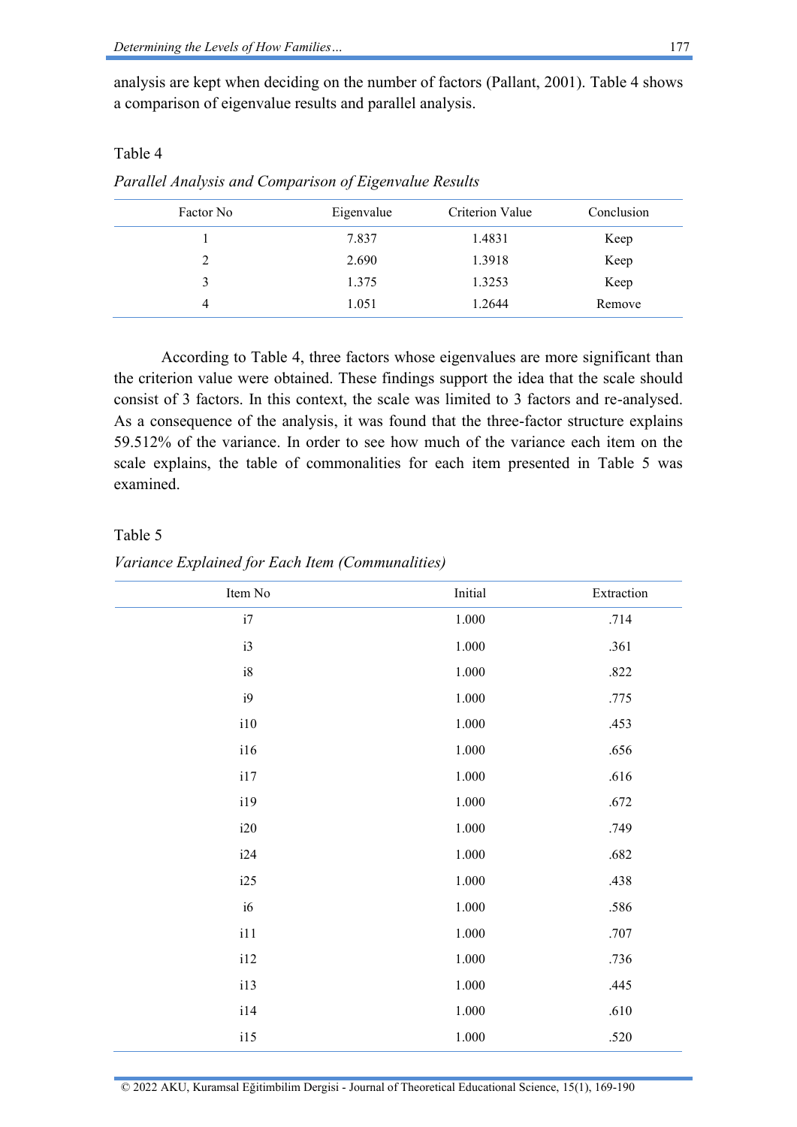analysis are kept when deciding on the number of factors (Pallant, 2001). Table 4 shows a comparison of eigenvalue results and parallel analysis.

## Table 4

*Parallel Analysis and Comparison of Eigenvalue Results*

| Factor No | Eigenvalue | Criterion Value | Conclusion |
|-----------|------------|-----------------|------------|
|           | 7.837      | 1.4831          | Keep       |
| 2         | 2.690      | 1.3918          | Keep       |
| 3         | 1.375      | 1.3253          | Keep       |
| 4         | 1.051      | 1.2644          | Remove     |

According to Table 4, three factors whose eigenvalues are more significant than the criterion value were obtained. These findings support the idea that the scale should consist of 3 factors. In this context, the scale was limited to 3 factors and re-analysed. As a consequence of the analysis, it was found that the three-factor structure explains 59.512% of the variance. In order to see how much of the variance each item on the scale explains, the table of commonalities for each item presented in Table 5 was examined.

## Table 5

| Item No  | Initial   | Extraction |
|----------|-----------|------------|
| i7       | $1.000\,$ | .714       |
| i3       | $1.000\,$ | .361       |
| $\rm i8$ | $1.000\,$ | .822       |
| i9       | $1.000\,$ | .775       |
| i10      | $1.000\,$ | .453       |
| i16      | $1.000\,$ | .656       |
| i17      | $1.000\,$ | .616       |
| i19      | $1.000\,$ | .672       |
| i20      | $1.000\,$ | .749       |
| i24      | $1.000\,$ | .682       |
| i25      | $1.000\,$ | .438       |
| i6       | $1.000\,$ | .586       |
| 111      | $1.000\,$ | .707       |
| i12      | $1.000\,$ | .736       |
| i13      | $1.000\,$ | .445       |
| i14      | $1.000\,$ | .610       |
| i15      | $1.000\,$ | .520       |
|          |           |            |

*Variance Explained for Each Item (Communalities)*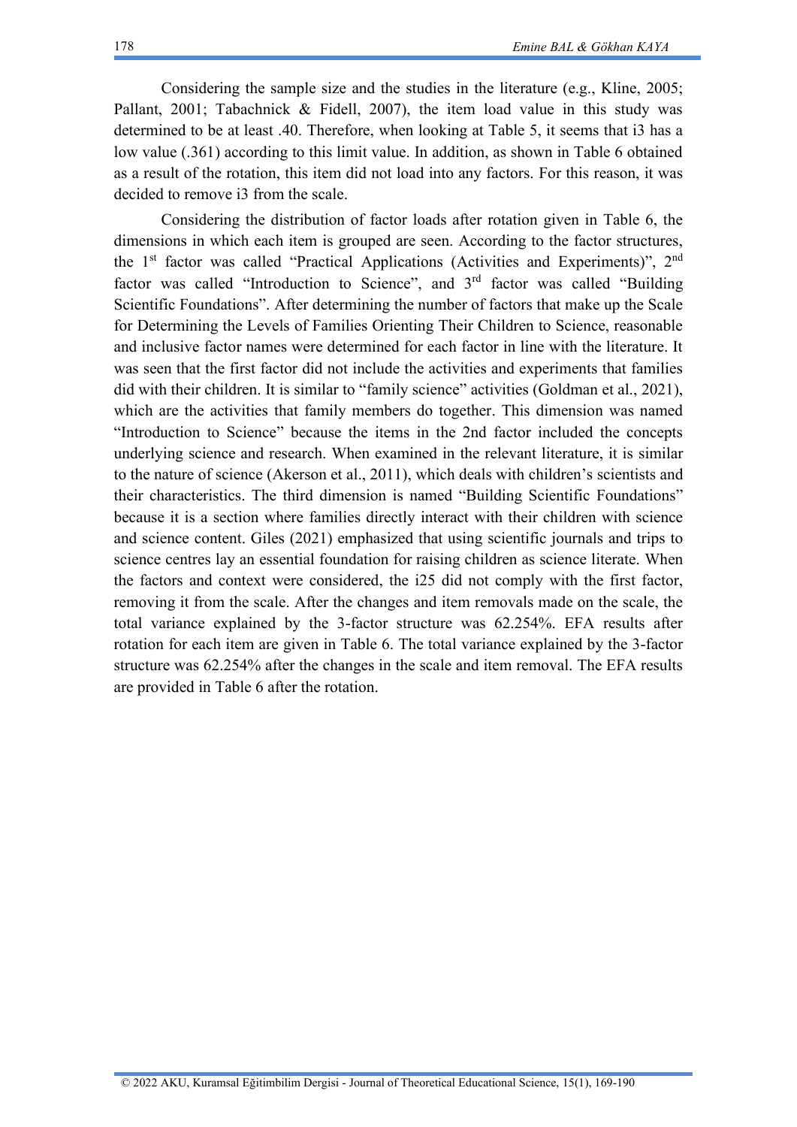Considering the sample size and the studies in the literature (e.g., Kline, 2005; Pallant, 2001; Tabachnick & Fidell, 2007), the item load value in this study was determined to be at least .40. Therefore, when looking at Table 5, it seems that i3 has a low value (.361) according to this limit value. In addition, as shown in Table 6 obtained as a result of the rotation, this item did not load into any factors. For this reason, it was decided to remove i3 from the scale.

Considering the distribution of factor loads after rotation given in Table 6, the dimensions in which each item is grouped are seen. According to the factor structures, the 1<sup>st</sup> factor was called "Practical Applications (Activities and Experiments)", 2<sup>nd</sup> factor was called "Introduction to Science", and  $3<sup>rd</sup>$  factor was called "Building Scientific Foundations". After determining the number of factors that make up the Scale for Determining the Levels of Families Orienting Their Children to Science, reasonable and inclusive factor names were determined for each factor in line with the literature. It was seen that the first factor did not include the activities and experiments that families did with their children. It is similar to "family science" activities (Goldman et al., 2021), which are the activities that family members do together. This dimension was named "Introduction to Science" because the items in the 2nd factor included the concepts underlying science and research. When examined in the relevant literature, it is similar to the nature of science (Akerson et al., 2011), which deals with children's scientists and their characteristics. The third dimension is named "Building Scientific Foundations" because it is a section where families directly interact with their children with science and science content. Giles (2021) emphasized that using scientific journals and trips to science centres lay an essential foundation for raising children as science literate. When the factors and context were considered, the i25 did not comply with the first factor, removing it from the scale. After the changes and item removals made on the scale, the total variance explained by the 3-factor structure was 62.254%. EFA results after rotation for each item are given in Table 6. The total variance explained by the 3-factor structure was 62.254% after the changes in the scale and item removal. The EFA results are provided in Table 6 after the rotation.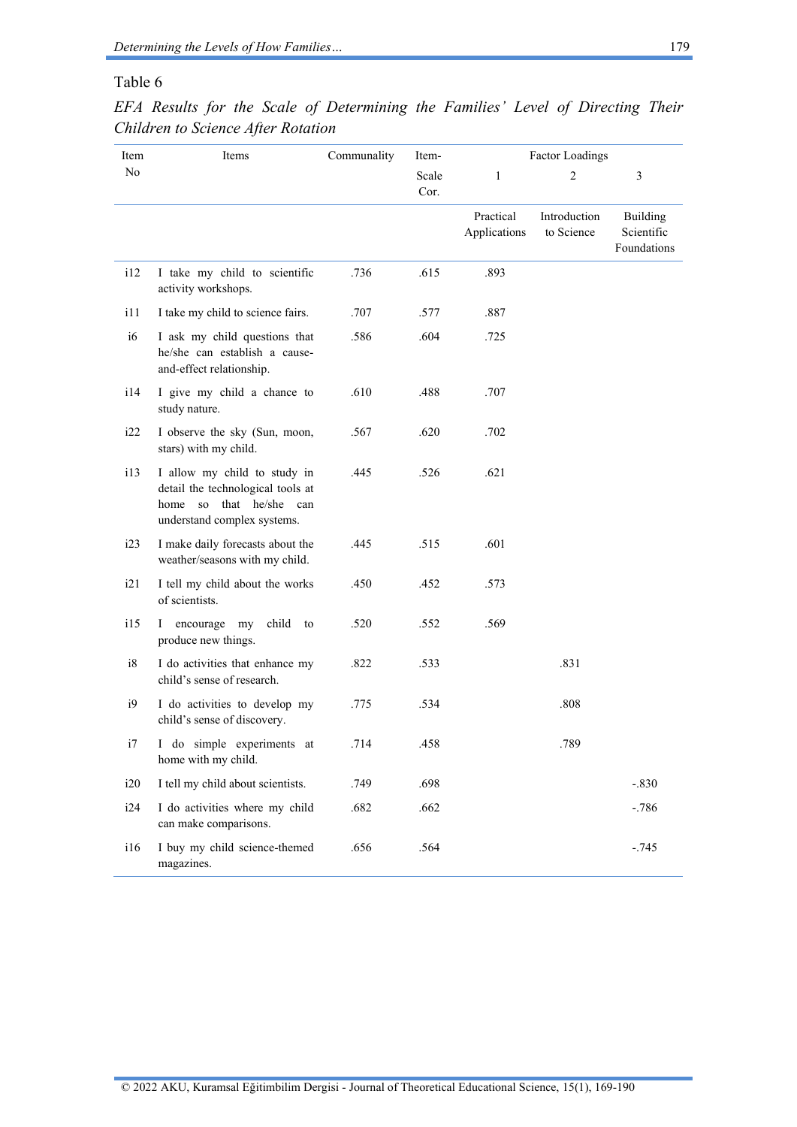## Table 6

| Item | Items                                                                                                                          | Communality | Item-         | <b>Factor Loadings</b>    |                            |                                       |
|------|--------------------------------------------------------------------------------------------------------------------------------|-------------|---------------|---------------------------|----------------------------|---------------------------------------|
| No   |                                                                                                                                |             | Scale<br>Cor. | $\mathbf{1}$              | $\overline{2}$             | 3                                     |
|      |                                                                                                                                |             |               | Practical<br>Applications | Introduction<br>to Science | Building<br>Scientific<br>Foundations |
| i12  | I take my child to scientific<br>activity workshops.                                                                           | .736        | .615          | .893                      |                            |                                       |
| i11  | I take my child to science fairs.                                                                                              | .707        | .577          | .887                      |                            |                                       |
| i6   | I ask my child questions that<br>he/she can establish a cause-<br>and-effect relationship.                                     | .586        | .604          | .725                      |                            |                                       |
| 114  | I give my child a chance to<br>study nature.                                                                                   | .610        | .488          | .707                      |                            |                                       |
| i22  | I observe the sky (Sun, moon,<br>stars) with my child.                                                                         | .567        | .620          | .702                      |                            |                                       |
| i13  | I allow my child to study in<br>detail the technological tools at<br>so that he/she can<br>home<br>understand complex systems. | .445        | .526          | .621                      |                            |                                       |
| i23  | I make daily forecasts about the<br>weather/seasons with my child.                                                             | .445        | .515          | .601                      |                            |                                       |
| i21  | I tell my child about the works<br>of scientists.                                                                              | .450        | .452          | .573                      |                            |                                       |
| i15  | encourage my<br>child<br>L<br>to<br>produce new things.                                                                        | .520        | .552          | .569                      |                            |                                       |
| i8   | I do activities that enhance my<br>child's sense of research.                                                                  | .822        | .533          |                           | .831                       |                                       |
| i9   | I do activities to develop my<br>child's sense of discovery.                                                                   | .775        | .534          |                           | .808                       |                                       |
| i7   | I do simple experiments at<br>home with my child.                                                                              | .714        | .458          |                           | .789                       |                                       |
| i20  | I tell my child about scientists.                                                                                              | .749        | .698          |                           |                            | $-.830$                               |
| i24  | I do activities where my child<br>can make comparisons.                                                                        | .682        | .662          |                           |                            | $-.786$                               |
| i16  | I buy my child science-themed<br>magazines.                                                                                    | .656        | .564          |                           |                            | $-.745$                               |

*EFA Results for the Scale of Determining the Families' Level of Directing Their Children to Science After Rotation*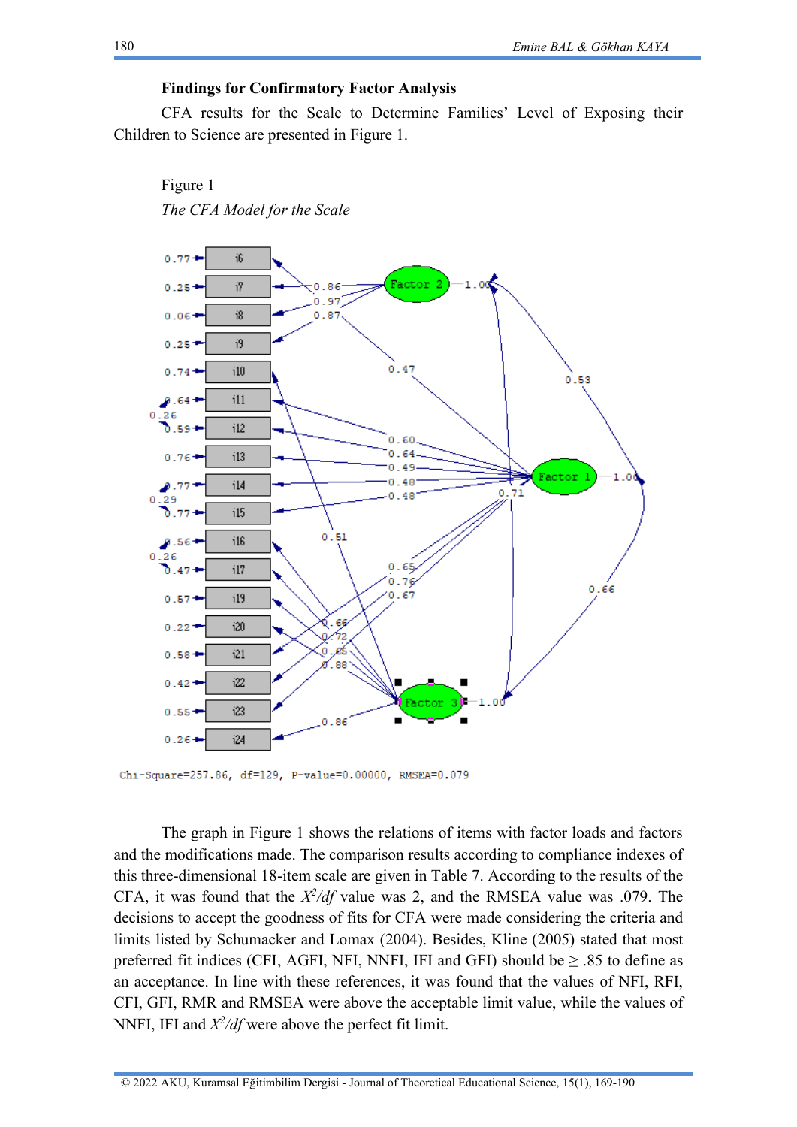## **Findings for Confirmatory Factor Analysis**

CFA results for the Scale to Determine Families' Level of Exposing their Children to Science are presented in Figure 1.



Figure 1 *The CFA Model for the Scale*

Chi-Square=257.86, df=129, P-value=0.00000, RMSEA=0.079

The graph in Figure 1 shows the relations of items with factor loads and factors and the modifications made. The comparison results according to compliance indexes of this three-dimensional 18-item scale are given in Table 7. According to the results of the CFA, it was found that the  $\frac{X^2}{df}$  value was 2, and the RMSEA value was .079. The decisions to accept the goodness of fits for CFA were made considering the criteria and limits listed by Schumacker and Lomax (2004). Besides, Kline (2005) stated that most preferred fit indices (CFI, AGFI, NFI, NNFI, IFI and GFI) should be  $\geq .85$  to define as an acceptance. In line with these references, it was found that the values of NFI, RFI, CFI, GFI, RMR and RMSEA were above the acceptable limit value, while the values of NNFI, IFI and  $\frac{X^2}{df}$  were above the perfect fit limit.

180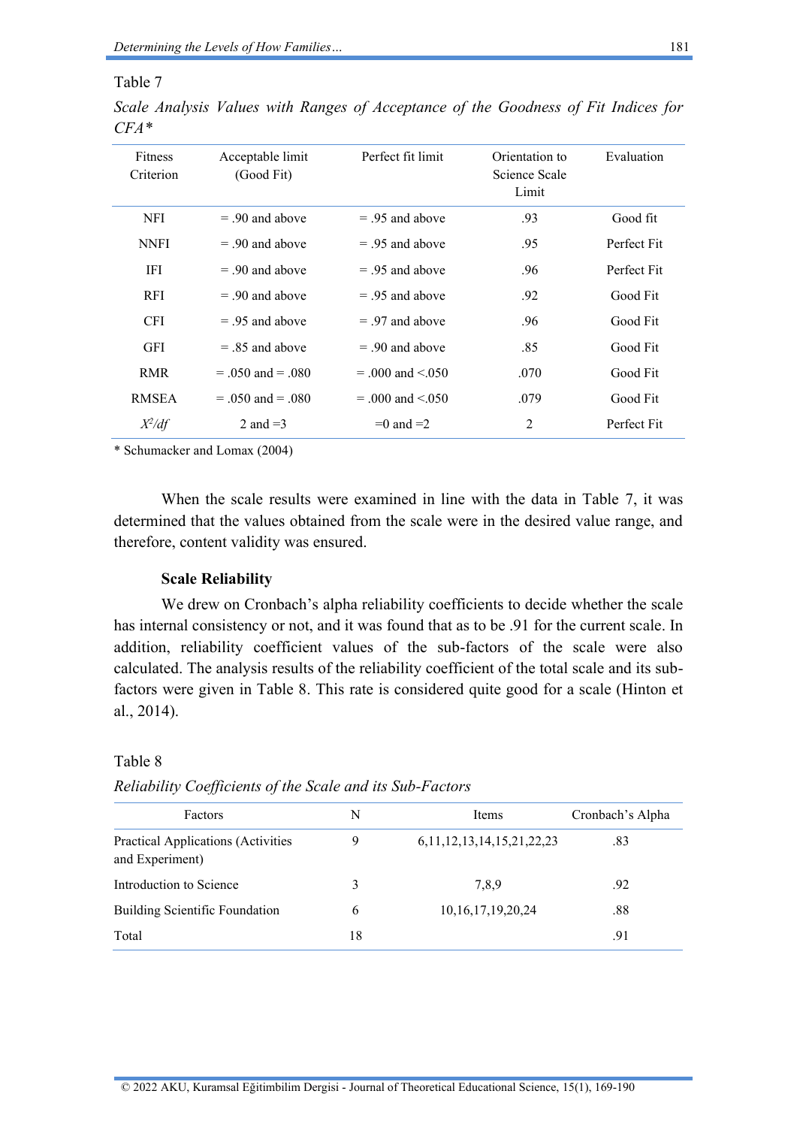### Table 7

| Fitness<br>Criterion | Acceptable limit<br>(Good Fit) | Perfect fit limit      | Orientation to<br>Science Scale<br>Limit | Evaluation  |
|----------------------|--------------------------------|------------------------|------------------------------------------|-------------|
| NFI                  | $=$ 90 and above               | $=$ 9.5 and above      | .93                                      | Good fit    |
| <b>NNFI</b>          | $=$ 90 and above               | $=$ 95 and above       | .95                                      | Perfect Fit |
| IFI                  | $=$ 90 and above               | $=$ 9.5 and above      | .96                                      | Perfect Fit |
| <b>RFI</b>           | $=$ 90 and above               | $=$ 9.5 and above      | .92                                      | Good Fit    |
| <b>CFI</b>           | $=$ 9.5 and above              | $=$ 97 and above       | .96                                      | Good Fit    |
| <b>GFI</b>           | $=$ 8.5 and above              | $= 90$ and above       | .85                                      | Good Fit    |
| <b>RMR</b>           | $= .050$ and $= .080$          | $= .000$ and $< .050$  | .070                                     | Good Fit    |
| <b>RMSEA</b>         | $= .050$ and $= .080$          | $= .000$ and $< 0.050$ | .079                                     | Good Fit    |
| $X^2/df$             | 2 and $=$ 3                    | $=0$ and $=2$          | $\overline{2}$                           | Perfect Fit |

*Scale Analysis Values with Ranges of Acceptance of the Goodness of Fit Indices for CFA\**

\* Schumacker and Lomax (2004)

When the scale results were examined in line with the data in Table 7, it was determined that the values obtained from the scale were in the desired value range, and therefore, content validity was ensured.

#### **Scale Reliability**

We drew on Cronbach's alpha reliability coefficients to decide whether the scale has internal consistency or not, and it was found that as to be .91 for the current scale. In addition, reliability coefficient values of the sub-factors of the scale were also calculated. The analysis results of the reliability coefficient of the total scale and its subfactors were given in Table 8. This rate is considered quite good for a scale (Hinton et al., 2014).

### Table 8

| Factors                                                      | N  | Items                             | Cronbach's Alpha |
|--------------------------------------------------------------|----|-----------------------------------|------------------|
| <b>Practical Applications (Activities</b><br>and Experiment) | 9  | 6, 11, 12, 13, 14, 15, 21, 22, 23 | .83              |
| Introduction to Science                                      | 3  | 7.8.9                             | .92              |
| <b>Building Scientific Foundation</b>                        | 6  | 10, 16, 17, 19, 20, 24            | .88              |
| Total                                                        | 18 |                                   | .91              |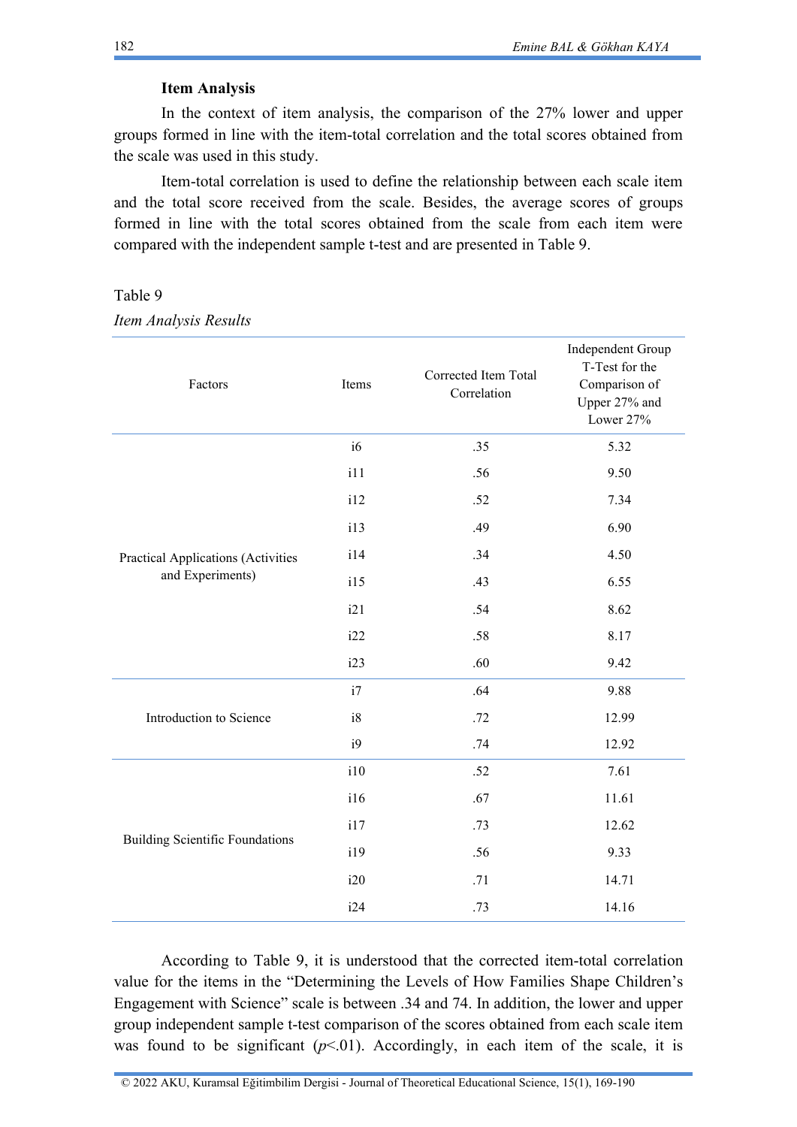### **Item Analysis**

In the context of item analysis, the comparison of the 27% lower and upper groups formed in line with the item-total correlation and the total scores obtained from the scale was used in this study.

Item-total correlation is used to define the relationship between each scale item and the total score received from the scale. Besides, the average scores of groups formed in line with the total scores obtained from the scale from each item were compared with the independent sample t-test and are presented in Table 9.

Table 9

*Item Analysis Results* 

| Factors                                   | Items | Corrected Item Total<br>Correlation | Independent Group<br>T-Test for the<br>Comparison of<br>Upper 27% and<br>Lower 27% |
|-------------------------------------------|-------|-------------------------------------|------------------------------------------------------------------------------------|
|                                           | i6    | .35                                 | 5.32                                                                               |
|                                           | i11   | .56                                 | 9.50                                                                               |
|                                           | i12   | .52                                 | 7.34                                                                               |
|                                           | i13   | .49                                 | 6.90                                                                               |
| <b>Practical Applications (Activities</b> | i14   | .34                                 | 4.50                                                                               |
| and Experiments)                          | i15   | .43                                 | 6.55                                                                               |
|                                           | i21   | .54                                 | 8.62                                                                               |
|                                           | i22   | .58                                 | 8.17                                                                               |
|                                           | i23   | .60                                 | 9.42                                                                               |
|                                           | i7    | .64                                 | 9.88                                                                               |
| Introduction to Science                   | i8    | .72                                 | 12.99                                                                              |
|                                           | i9    | .74                                 | 12.92                                                                              |
|                                           | i10   | .52                                 | 7.61                                                                               |
|                                           | i16   | .67                                 | 11.61                                                                              |
|                                           | i17   | .73                                 | 12.62                                                                              |
| <b>Building Scientific Foundations</b>    | i19   | .56                                 | 9.33                                                                               |
|                                           | i20   | .71                                 | 14.71                                                                              |
|                                           | i24   | .73                                 | 14.16                                                                              |

According to Table 9, it is understood that the corrected item-total correlation value for the items in the "Determining the Levels of How Families Shape Children's Engagement with Science" scale is between .34 and 74. In addition, the lower and upper group independent sample t-test comparison of the scores obtained from each scale item was found to be significant  $(p<01)$ . Accordingly, in each item of the scale, it is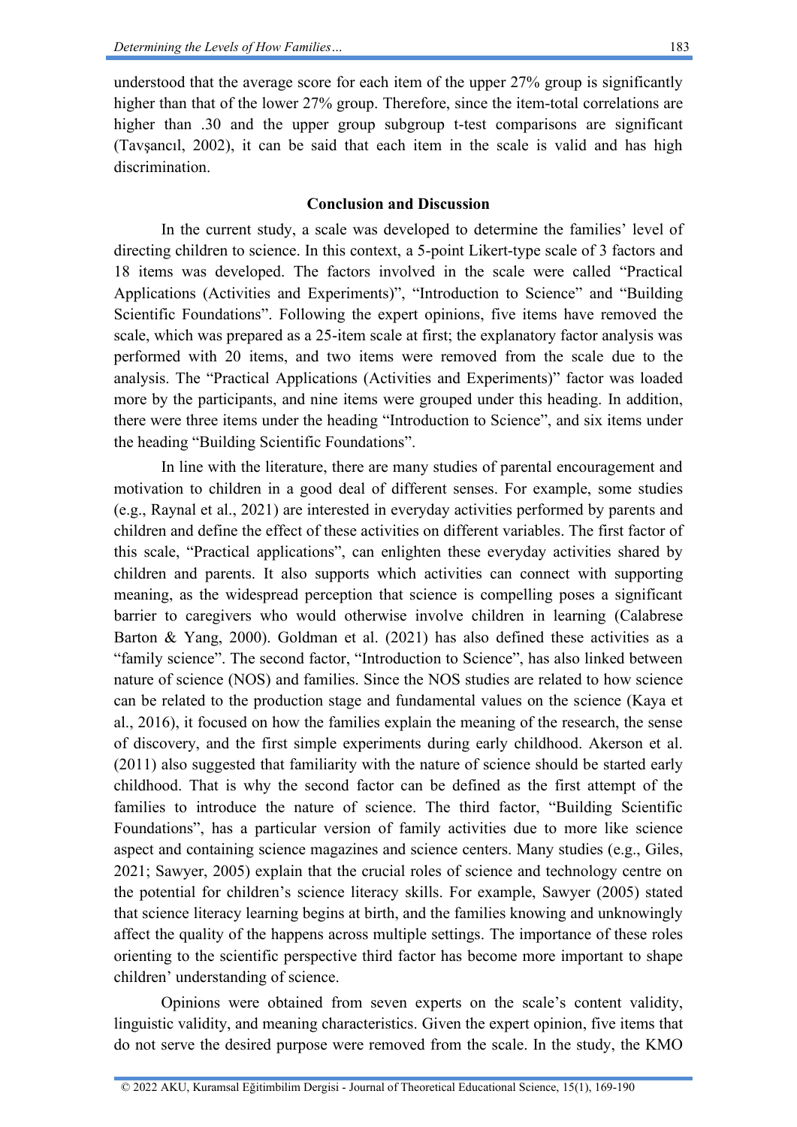understood that the average score for each item of the upper 27% group is significantly higher than that of the lower 27% group. Therefore, since the item-total correlations are higher than .30 and the upper group subgroup t-test comparisons are significant (Tavşancıl, 2002), it can be said that each item in the scale is valid and has high discrimination.

### **Conclusion and Discussion**

In the current study, a scale was developed to determine the families' level of directing children to science. In this context, a 5-point Likert-type scale of 3 factors and 18 items was developed. The factors involved in the scale were called "Practical Applications (Activities and Experiments)", "Introduction to Science" and "Building Scientific Foundations". Following the expert opinions, five items have removed the scale, which was prepared as a 25-item scale at first; the explanatory factor analysis was performed with 20 items, and two items were removed from the scale due to the analysis. The "Practical Applications (Activities and Experiments)" factor was loaded more by the participants, and nine items were grouped under this heading. In addition, there were three items under the heading "Introduction to Science", and six items under the heading "Building Scientific Foundations".

In line with the literature, there are many studies of parental encouragement and motivation to children in a good deal of different senses. For example, some studies (e.g., Raynal et al., 2021) are interested in everyday activities performed by parents and children and define the effect of these activities on different variables. The first factor of this scale, "Practical applications", can enlighten these everyday activities shared by children and parents. It also supports which activities can connect with supporting meaning, as the widespread perception that science is compelling poses a significant barrier to caregivers who would otherwise involve children in learning (Calabrese Barton & Yang, 2000). Goldman et al. (2021) has also defined these activities as a "family science". The second factor, "Introduction to Science", has also linked between nature of science (NOS) and families. Since the NOS studies are related to how science can be related to the production stage and fundamental values on the science (Kaya et al., 2016), it focused on how the families explain the meaning of the research, the sense of discovery, and the first simple experiments during early childhood. Akerson et al. (2011) also suggested that familiarity with the nature of science should be started early childhood. That is why the second factor can be defined as the first attempt of the families to introduce the nature of science. The third factor, "Building Scientific Foundations", has a particular version of family activities due to more like science aspect and containing science magazines and science centers. Many studies (e.g., Giles, 2021; Sawyer, 2005) explain that the crucial roles of science and technology centre on the potential for children's science literacy skills. For example, Sawyer (2005) stated that science literacy learning begins at birth, and the families knowing and unknowingly affect the quality of the happens across multiple settings. The importance of these roles orienting to the scientific perspective third factor has become more important to shape children' understanding of science.

Opinions were obtained from seven experts on the scale's content validity, linguistic validity, and meaning characteristics. Given the expert opinion, five items that do not serve the desired purpose were removed from the scale. In the study, the KMO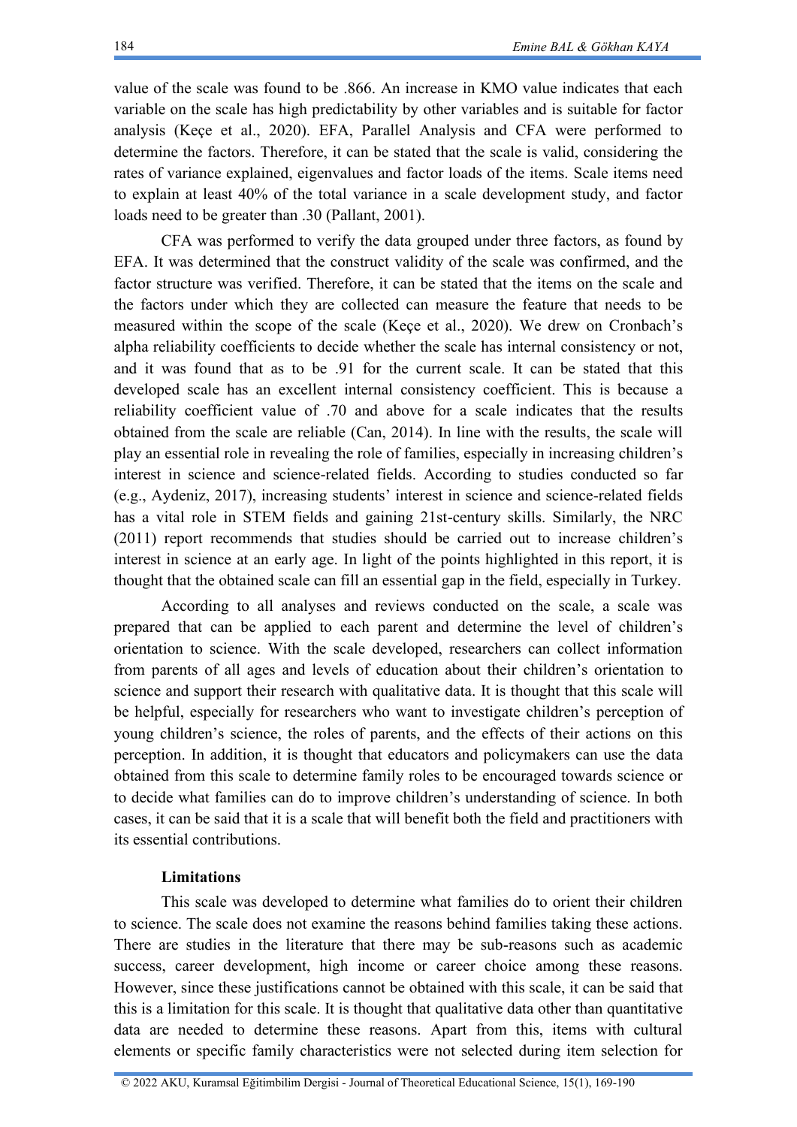value of the scale was found to be .866. An increase in KMO value indicates that each variable on the scale has high predictability by other variables and is suitable for factor analysis (Keçe et al., 2020). EFA, Parallel Analysis and CFA were performed to determine the factors. Therefore, it can be stated that the scale is valid, considering the rates of variance explained, eigenvalues and factor loads of the items. Scale items need to explain at least 40% of the total variance in a scale development study, and factor loads need to be greater than .30 (Pallant, 2001).

CFA was performed to verify the data grouped under three factors, as found by EFA. It was determined that the construct validity of the scale was confirmed, and the factor structure was verified. Therefore, it can be stated that the items on the scale and the factors under which they are collected can measure the feature that needs to be measured within the scope of the scale (Keçe et al., 2020). We drew on Cronbach's alpha reliability coefficients to decide whether the scale has internal consistency or not, and it was found that as to be .91 for the current scale. It can be stated that this developed scale has an excellent internal consistency coefficient. This is because a reliability coefficient value of .70 and above for a scale indicates that the results obtained from the scale are reliable (Can, 2014). In line with the results, the scale will play an essential role in revealing the role of families, especially in increasing children's interest in science and science-related fields. According to studies conducted so far (e.g., Aydeniz, 2017), increasing students' interest in science and science-related fields has a vital role in STEM fields and gaining 21st-century skills. Similarly, the NRC (2011) report recommends that studies should be carried out to increase children's interest in science at an early age. In light of the points highlighted in this report, it is thought that the obtained scale can fill an essential gap in the field, especially in Turkey.

According to all analyses and reviews conducted on the scale, a scale was prepared that can be applied to each parent and determine the level of children's orientation to science. With the scale developed, researchers can collect information from parents of all ages and levels of education about their children's orientation to science and support their research with qualitative data. It is thought that this scale will be helpful, especially for researchers who want to investigate children's perception of young children's science, the roles of parents, and the effects of their actions on this perception. In addition, it is thought that educators and policymakers can use the data obtained from this scale to determine family roles to be encouraged towards science or to decide what families can do to improve children's understanding of science. In both cases, it can be said that it is a scale that will benefit both the field and practitioners with its essential contributions.

## **Limitations**

This scale was developed to determine what families do to orient their children to science. The scale does not examine the reasons behind families taking these actions. There are studies in the literature that there may be sub-reasons such as academic success, career development, high income or career choice among these reasons. However, since these justifications cannot be obtained with this scale, it can be said that this is a limitation for this scale. It is thought that qualitative data other than quantitative data are needed to determine these reasons. Apart from this, items with cultural elements or specific family characteristics were not selected during item selection for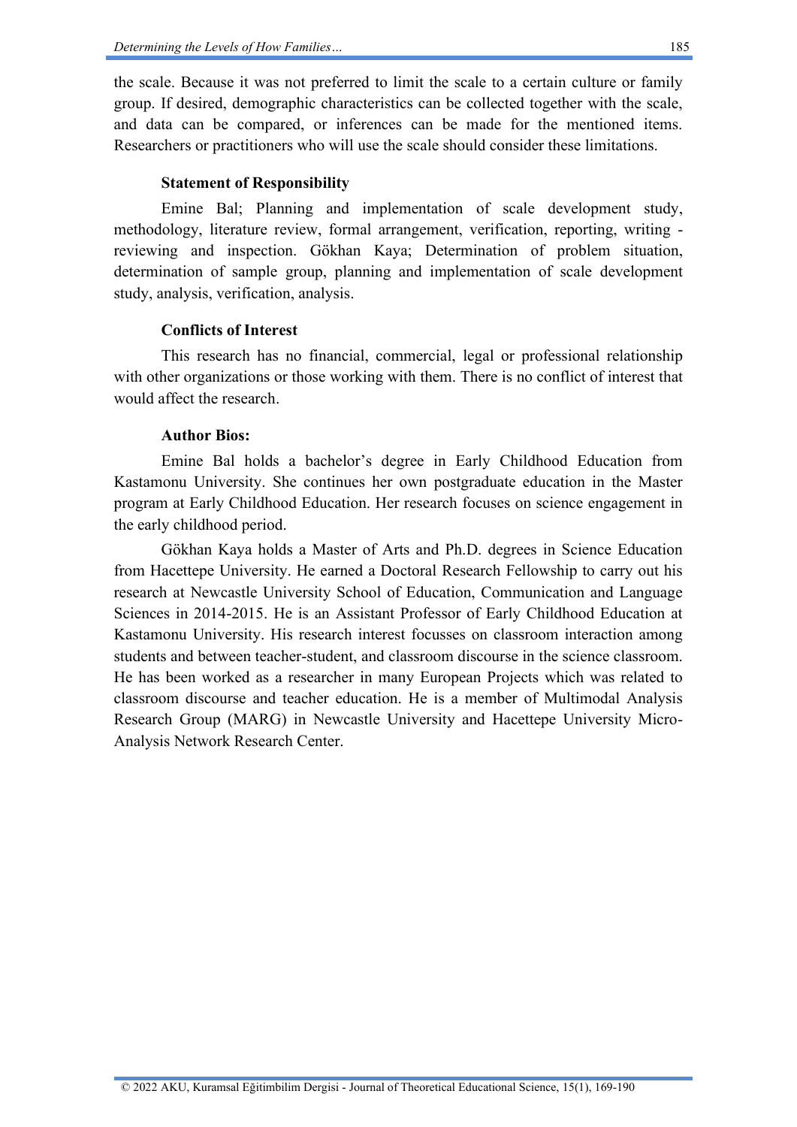the scale. Because it was not preferred to limit the scale to a certain culture or family group. If desired, demographic characteristics can be collected together with the scale, and data can be compared, or inferences can be made for the mentioned items. Researchers or practitioners who will use the scale should consider these limitations.

## **Statement of Responsibility**

Emine Bal; Planning and implementation of scale development study, methodology, literature review, formal arrangement, verification, reporting, writing reviewing and inspection. Gökhan Kaya; Determination of problem situation, determination of sample group, planning and implementation of scale development study, analysis, verification, analysis.

## **Conflicts of Interest**

This research has no financial, commercial, legal or professional relationship with other organizations or those working with them. There is no conflict of interest that would affect the research.

## **Author Bios:**

Emine Bal holds a bachelor's degree in Early Childhood Education from Kastamonu University. She continues her own postgraduate education in the Master program at Early Childhood Education. Her research focuses on science engagement in the early childhood period.

Gökhan Kaya holds a Master of Arts and Ph.D. degrees in Science Education from Hacettepe University. He earned a Doctoral Research Fellowship to carry out his research at Newcastle University School of Education, Communication and Language Sciences in 2014-2015. He is an Assistant Professor of Early Childhood Education at Kastamonu University. His research interest focusses on classroom interaction among students and between teacher-student, and classroom discourse in the science classroom. He has been worked as a researcher in many European Projects which was related to classroom discourse and teacher education. He is a member of Multimodal Analysis Research Group (MARG) in Newcastle University and Hacettepe University Micro-Analysis Network Research Center.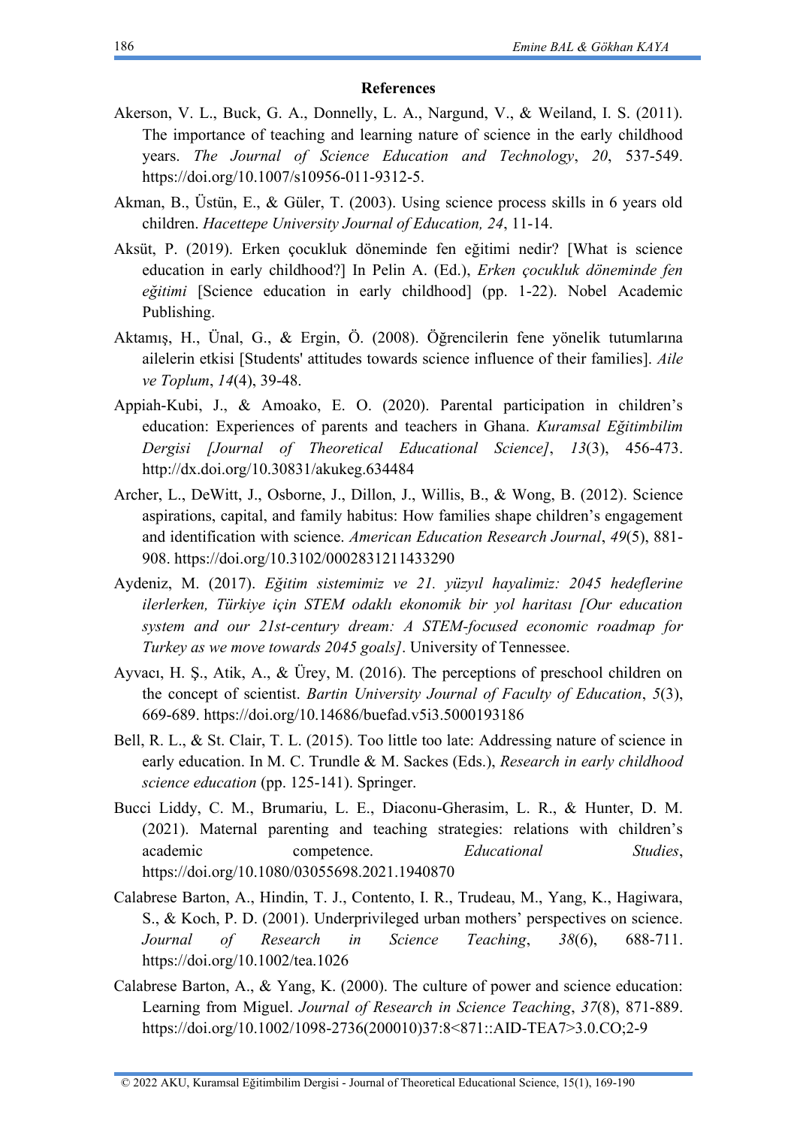#### **References**

- Akerson, V. L., Buck, G. A., Donnelly, L. A., Nargund, V., & Weiland, I. S. (2011). The importance of teaching and learning nature of science in the early childhood years. *The Journal of Science Education and Technology*, *20*, 537-549. [https://doi.org/10.1007/s10956-011-9312-5.](https://doi.org/10.1007/s10956-011-9312-5)
- Akman, B., Üstün, E., & Güler, T. (2003). Using science process skills in 6 years old children. *Hacettepe University Journal of Education, 24*, 11-14.
- Aksüt, P. (2019). Erken çocukluk döneminde fen eğitimi nedir? [What is science education in early childhood?] In Pelin A. (Ed.), *Erken çocukluk döneminde fen eğitimi* [Science education in early childhood] (pp. 1-22). Nobel Academic Publishing.
- Aktamış, H., Ünal, G., & Ergin, Ö. (2008). Öğrencilerin fene yönelik tutumlarına ailelerin etkisi [Students' attitudes towards science influence of their families]. *Aile ve Toplum*, *14*(4), 39-48.
- Appiah-Kubi, J., & Amoako, E. O. (2020). Parental participation in children's education: Experiences of parents and teachers in Ghana. *Kuramsal Eğitimbilim Dergisi [Journal of Theoretical Educational Science]*, *13*(3), 456-473. <http://dx.doi.org/10.30831/akukeg.634484>
- Archer, L., DeWitt, J., Osborne, J., Dillon, J., Willis, B., & Wong, B. (2012). Science aspirations, capital, and family habitus: How families shape children's engagement and identification with science. *American Education Research Journal*, *49*(5), 881- 908.<https://doi.org/10.3102/0002831211433290>
- Aydeniz, M. (2017). *Eğitim sistemimiz ve 21. yüzyıl hayalimiz: 2045 hedeflerine ilerlerken, Türkiye için STEM odaklı ekonomik bir yol haritası [Our education system and our 21st-century dream: A STEM-focused economic roadmap for Turkey as we move towards 2045 goals]*. University of Tennessee.
- Ayvacı, H. Ş., Atik, A., & Ürey, M. (2016). The perceptions of preschool children on the concept of scientist. *Bartin University Journal of Faculty of Education*, *5*(3), 669-689.<https://doi.org/10.14686/buefad.v5i3.5000193186>
- Bell, R. L., & St. Clair, T. L. (2015). Too little too late: Addressing nature of science in early education. In M. C. Trundle & M. Sackes (Eds.), *Research in early childhood science education* (pp. 125-141). Springer.
- Bucci Liddy, C. M., Brumariu, L. E., Diaconu-Gherasim, L. R., & Hunter, D. M. (2021). Maternal parenting and teaching strategies: relations with children's academic competence. *Educational Studies*, <https://doi.org/10.1080/03055698.2021.1940870>
- Calabrese Barton, A., Hindin, T. J., Contento, I. R., Trudeau, M., Yang, K., Hagiwara, S., & Koch, P. D. (2001). Underprivileged urban mothers' perspectives on science. *Journal of Research in Science Teaching*, *38*(6), 688-711. <https://doi.org/10.1002/tea.1026>
- Calabrese Barton, A., & Yang, K. (2000). The culture of power and science education: Learning from Miguel. *Journal of Research in Science Teaching*, *37*(8), 871-889. [https://doi.org/10.1002/1098-2736\(200010\)37:8<871::AID-TEA7>3.0.CO;2-9](https://doi.org/10.1002/1098-2736(200010)37:8%3c871::AID-TEA7%3e3.0.CO;2-9)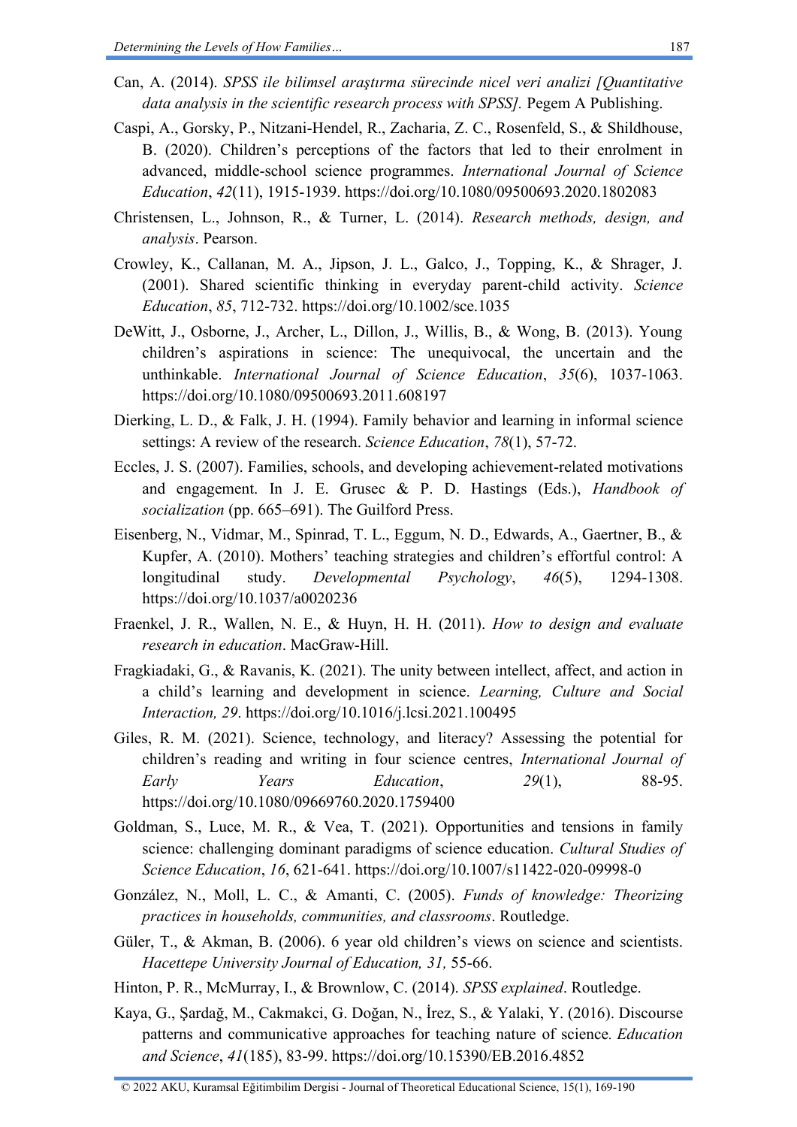- Can, A. (2014). *SPSS ile bilimsel araştırma sürecinde nicel veri analizi [Quantitative data analysis in the scientific research process with SPSS].* Pegem A Publishing.
- Caspi, A., Gorsky, P., Nitzani-Hendel, R., Zacharia, Z. C., Rosenfeld, S., & Shildhouse, B. (2020). Children's perceptions of the factors that led to their enrolment in advanced, middle-school science programmes. *International Journal of Science Education*, *42*(11), 1915-1939.<https://doi.org/10.1080/09500693.2020.1802083>
- Christensen, L., Johnson, R., & Turner, L. (2014). *Research methods, design, and analysis*. Pearson.
- Crowley, K., Callanan, M. A., Jipson, J. L., Galco, J., Topping, K., & Shrager, J. (2001). Shared scientific thinking in everyday parent-child activity. *Science Education*, *85*, 712-732.<https://doi.org/10.1002/sce.1035>
- DeWitt, J., Osborne, J., Archer, L., Dillon, J., Willis, B., & Wong, B. (2013). Young children's aspirations in science: The unequivocal, the uncertain and the unthinkable. *International Journal of Science Education*, *35*(6), 1037-1063. <https://doi.org/10.1080/09500693.2011.608197>
- Dierking, L. D., & Falk, J. H. (1994). Family behavior and learning in informal science settings: A review of the research. *Science Education*, *78*(1), 57-72.
- Eccles, J. S. (2007). Families, schools, and developing achievement-related motivations and engagement. In J. E. Grusec & P. D. Hastings (Eds.), *Handbook of socialization* (pp. 665–691). The Guilford Press.
- Eisenberg, N., Vidmar, M., Spinrad, T. L., Eggum, N. D., Edwards, A., Gaertner, B., & Kupfer, A. (2010). Mothers' teaching strategies and children's effortful control: A longitudinal study. *Developmental Psychology*, *46*(5), 1294-1308. <https://doi.org/10.1037/a0020236>
- Fraenkel, J. R., Wallen, N. E., & Huyn, H. H. (2011). *How to design and evaluate research in education*. MacGraw-Hill.
- Fragkiadaki, G., & Ravanis, K. (2021). The unity between intellect, affect, and action in a child's learning and development in science. *Learning, Culture and Social Interaction, 29*.<https://doi.org/10.1016/j.lcsi.2021.100495>
- Giles, R. M. (2021). Science, technology, and literacy? Assessing the potential for children's reading and writing in four science centres, *International Journal of Early Years Education*, *29*(1), 88-95. <https://doi.org/10.1080/09669760.2020.1759400>
- Goldman, S., Luce, M. R., & Vea, T. (2021). Opportunities and tensions in family science: challenging dominant paradigms of science education. *Cultural Studies of Science Education*, *16*, 621-641.<https://doi.org/10.1007/s11422-020-09998-0>
- González, N., Moll, L. C., & Amanti, C. (2005). *Funds of knowledge: Theorizing practices in households, communities, and classrooms*. Routledge.
- Güler, T., & Akman, B. (2006). 6 year old children's views on science and scientists. *Hacettepe University Journal of Education, 31,* 55-66.
- Hinton, P. R., McMurray, I., & Brownlow, C. (2014). *SPSS explained*. Routledge.
- Kaya, G., Şardağ, M., Cakmakci, G. Doğan, N., İrez, S., & Yalaki, Y. (2016). Discourse patterns and communicative approaches for teaching nature of science*. Education and Science*, *41*(185), 83-99.<https://doi.org/10.15390/EB.2016.4852>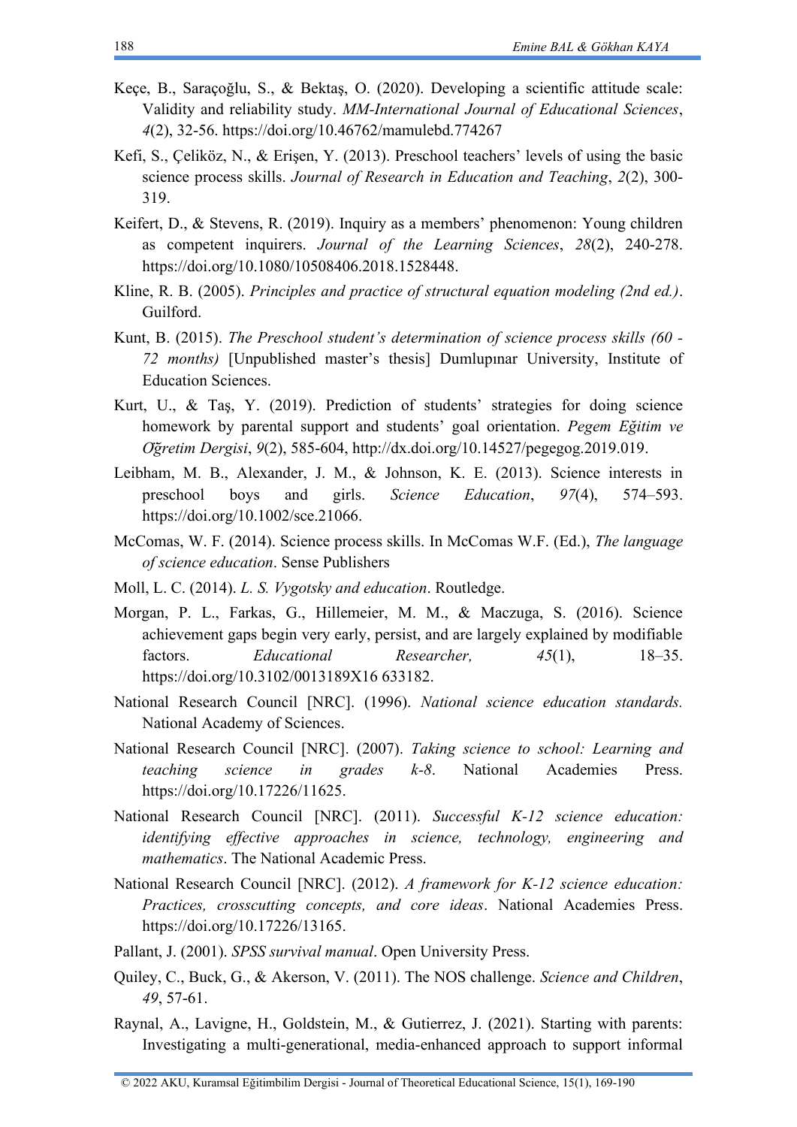- Keçe, B., Saraçoğlu, S., & Bektaş, O. (2020). Developing a scientific attitude scale: Validity and reliability study. *MM-International Journal of Educational Sciences*, *4*(2), 32-56.<https://doi.org/10.46762/mamulebd.774267>
- Kefi, S., Çeliköz, N., & Erişen, Y. (2013). Preschool teachers' levels of using the basic science process skills. *Journal of Research in Education and Teaching*, *2*(2), 300- 319.
- Keifert, D., & Stevens, R. (2019). Inquiry as a members' phenomenon: Young children as competent inquirers. *Journal of the Learning Sciences*, *28*(2), 240-278. [https://doi.org/10.1080/10508406.2018.1528448.](https://doi.org/10.1080/10508406.2018.1528448)
- Kline, R. B. (2005). *Principles and practice of structural equation modeling (2nd ed.)*. Guilford.
- Kunt, B. (2015). *The Preschool student's determination of science process skills (60 - 72 months)* [Unpublished master's thesis] Dumlupınar University, Institute of Education Sciences.
- Kurt, U., & Taş, Y. (2019). Prediction of students' strategies for doing science homework by parental support and students' goal orientation. *Pegem Eğitim ve Öğretim Dergisi*, *9*(2), 585-604, http://dx.doi.org/10.14527/pegegog.2019.019.
- Leibham, M. B., Alexander, J. M., & Johnson, K. E. (2013). Science interests in preschool boys and girls. *Science Education*, *97*(4), 574–593. https://doi.org/10.1002/sce.21066.
- McComas, W. F. (2014). Science process skills. In McComas W.F. (Ed.), *The language of science education*. Sense Publishers
- Moll, L. C. (2014). *L. S. Vygotsky and education*. Routledge.
- Morgan, P. L., Farkas, G., Hillemeier, M. M., & Maczuga, S. (2016). Science achievement gaps begin very early, persist, and are largely explained by modifiable factors. *Educational Researcher, 45*(1), 18–35. https://doi.org/10.3102/0013189X16 633182.
- National Research Council [NRC]. (1996). *National science education standards.* National Academy of Sciences.
- National Research Council [NRC]. (2007). *Taking science to school: Learning and teaching science in grades k-8*. National Academies Press. [https://doi.org/10.17226/11625.](https://doi.org/10.17226/11625)
- National Research Council [NRC]. (2011). *Successful K-12 science education: identifying effective approaches in science, technology, engineering and mathematics*. The National Academic Press.
- National Research Council [NRC]. (2012). *A framework for K-12 science education: Practices, crosscutting concepts, and core ideas*. National Academies Press. https://doi.org/10.17226/13165.
- Pallant, J. (2001). *SPSS survival manual*. Open University Press.
- Quiley, C., Buck, G., & Akerson, V. (2011). The NOS challenge. *Science and Children*, *49*, 57-61.
- Raynal, A., Lavigne, H., Goldstein, M., & Gutierrez, J. (2021). Starting with parents: Investigating a multi‐generational, media‐enhanced approach to support informal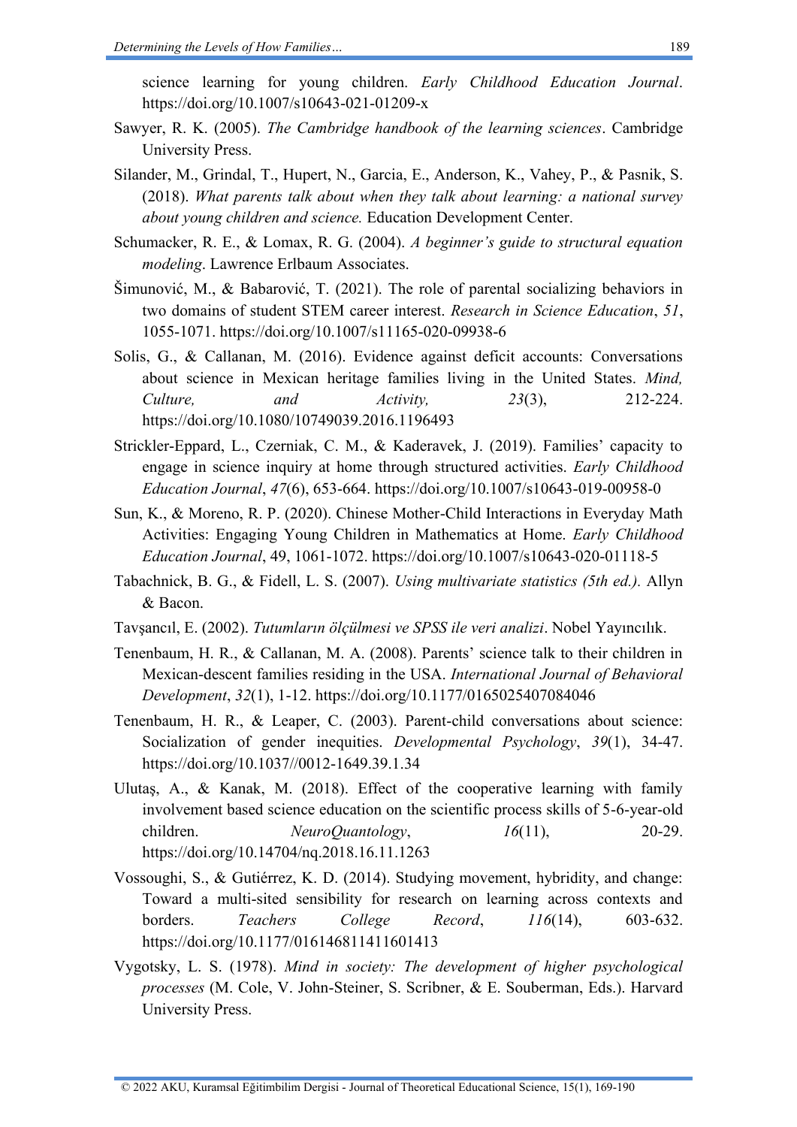science learning for young children. *Early Childhood Education Journal*. <https://doi.org/10.1007/s10643-021-01209-x>

- Sawyer, R. K. (2005). *The Cambridge handbook of the learning sciences*. Cambridge University Press.
- Silander, M., Grindal, T., Hupert, N., Garcia, E., Anderson, K., Vahey, P., & Pasnik, S. (2018). *What parents talk about when they talk about learning: a national survey about young children and science.* Education Development Center.
- Schumacker, R. E., & Lomax, R. G. (2004). *A beginner's guide to structural equation modeling*. Lawrence Erlbaum Associates.
- Šimunović, M., & Babarović, T. (2021). The role of parental socializing behaviors in two domains of student STEM career interest. *Research in Science Education*, *51*, 1055-1071.<https://doi.org/10.1007/s11165-020-09938-6>
- Solis, G., & Callanan, M. (2016). Evidence against deficit accounts: Conversations about science in Mexican heritage families living in the United States. *Mind, Culture, and Activity, 23*(3), 212-224. <https://doi.org/10.1080/10749039.2016.1196493>
- Strickler-Eppard, L., Czerniak, C. M., & Kaderavek, J. (2019). Families' capacity to engage in science inquiry at home through structured activities. *Early Childhood Education Journal*, *47*(6), 653-664.<https://doi.org/10.1007/s10643-019-00958-0>
- Sun, K., & Moreno, R. P. (2020). Chinese Mother-Child Interactions in Everyday Math Activities: Engaging Young Children in Mathematics at Home. *Early Childhood Education Journal*, 49, 1061-1072.<https://doi.org/10.1007/s10643-020-01118-5>
- Tabachnick, B. G., & Fidell, L. S. (2007). *Using multivariate statistics (5th ed.).* Allyn & Bacon.
- Tavşancıl, E. (2002). *Tutumların ölçülmesi ve SPSS ile veri analizi*. Nobel Yayıncılık.
- Tenenbaum, H. R., & Callanan, M. A. (2008). Parents' science talk to their children in Mexican-descent families residing in the USA. *International Journal of Behavioral Development*, *32*(1), 1-12.<https://doi.org/10.1177/0165025407084046>
- Tenenbaum, H. R., & Leaper, C. (2003). Parent-child conversations about science: Socialization of gender inequities. *Developmental Psychology*, *39*(1), 34-47. [https://doi.org/10.1037//0012-1649.39.1.34](https://doi.org/10.1037/0012-1649.39.1.34)
- Ulutaş, A., & Kanak, M. (2018). Effect of the cooperative learning with family involvement based science education on the scientific process skills of 5-6-year-old children. *NeuroQuantology*, *16*(11), 20-29. <https://doi.org/10.14704/nq.2018.16.11.1263>
- Vossoughi, S., & Gutiérrez, K. D. (2014). Studying movement, hybridity, and change: Toward a multi-sited sensibility for research on learning across contexts and borders. *Teachers College Record*, *116*(14), 603-632. <https://doi.org/10.1177/016146811411601413>
- Vygotsky, L. S. (1978). *Mind in society: The development of higher psychological processes* (M. Cole, V. John-Steiner, S. Scribner, & E. Souberman, Eds.). Harvard University Press.